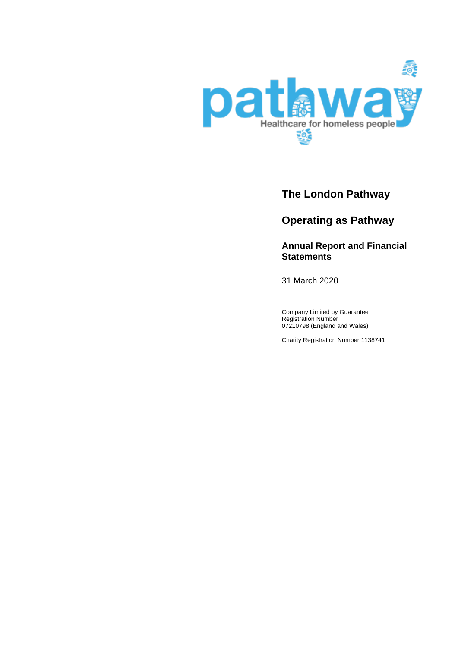

# **The London Pathway**

# **Operating as Pathway**

## **Annual Report and Financial Statements**

31 March 2020

Company Limited by Guarantee Registration Number 07210798 (England and Wales)

Charity Registration Number 1138741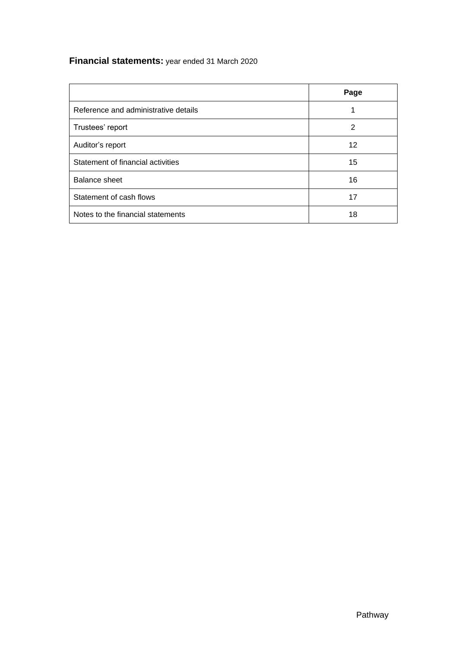# **Financial statements:** year ended 31 March 2020

|                                      | Page |
|--------------------------------------|------|
| Reference and administrative details |      |
| Trustees' report                     | 2    |
| Auditor's report                     | 12   |
| Statement of financial activities    | 15   |
| <b>Balance sheet</b>                 | 16   |
| Statement of cash flows              | 17   |
| Notes to the financial statements    | 18   |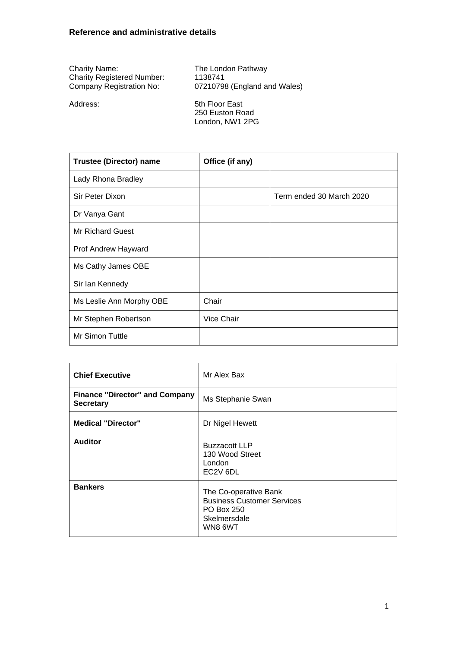<span id="page-2-0"></span>

| <b>Charity Name:</b>              | The London Pathway  |
|-----------------------------------|---------------------|
| <b>Charity Registered Number:</b> | 1138741             |
| Company Registration No:          | 07210798 (England a |

07210798 (England and Wales)

Address: 5th Floor East 250 Euston Road London, NW1 2PG

| <b>Trustee (Director) name</b> | Office (if any) |                          |
|--------------------------------|-----------------|--------------------------|
| Lady Rhona Bradley             |                 |                          |
| <b>Sir Peter Dixon</b>         |                 | Term ended 30 March 2020 |
| Dr Vanya Gant                  |                 |                          |
| <b>Mr Richard Guest</b>        |                 |                          |
| Prof Andrew Hayward            |                 |                          |
| Ms Cathy James OBE             |                 |                          |
| Sir Ian Kennedy                |                 |                          |
| Ms Leslie Ann Morphy OBE       | Chair           |                          |
| Mr Stephen Robertson           | Vice Chair      |                          |
| Mr Simon Tuttle                |                 |                          |

| <b>Chief Executive</b>                                    | Mr Alex Bax                                                                                                |
|-----------------------------------------------------------|------------------------------------------------------------------------------------------------------------|
| <b>Finance "Director" and Company</b><br><b>Secretary</b> | Ms Stephanie Swan                                                                                          |
| <b>Medical "Director"</b>                                 | Dr Nigel Hewett                                                                                            |
| <b>Auditor</b>                                            | <b>Buzzacott LLP</b><br>130 Wood Street<br>London<br>EC <sub>2V</sub> 6DL                                  |
| <b>Bankers</b>                                            | The Co-operative Bank<br><b>Business Customer Services</b><br><b>PO Box 250</b><br>Skelmersdale<br>WN8 6WT |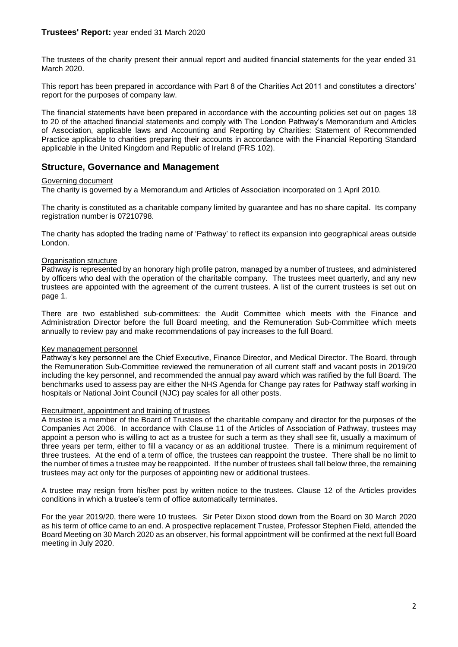<span id="page-3-0"></span>The trustees of the charity present their annual report and audited financial statements for the year ended 31 March 2020.

This report has been prepared in accordance with Part 8 of the Charities Act 2011 and constitutes a directors' report for the purposes of company law.

The financial statements have been prepared in accordance with the accounting policies set out on pages 18 to 20 of the attached financial statements and comply with The London Pathway's Memorandum and Articles of Association, applicable laws and Accounting and Reporting by Charities: Statement of Recommended Practice applicable to charities preparing their accounts in accordance with the Financial Reporting Standard applicable in the United Kingdom and Republic of Ireland (FRS 102).

## **Structure, Governance and Management**

#### Governing document

The charity is governed by a Memorandum and Articles of Association incorporated on 1 April 2010.

The charity is constituted as a charitable company limited by guarantee and has no share capital. Its company registration number is 07210798.

The charity has adopted the trading name of 'Pathway' to reflect its expansion into geographical areas outside London.

#### Organisation structure

Pathway is represented by an honorary high profile patron, managed by a number of trustees, and administered by officers who deal with the operation of the charitable company. The trustees meet quarterly, and any new trustees are appointed with the agreement of the current trustees. A list of the current trustees is set out on page 1.

There are two established sub-committees: the Audit Committee which meets with the Finance and Administration Director before the full Board meeting, and the Remuneration Sub-Committee which meets annually to review pay and make recommendations of pay increases to the full Board.

#### Key management personnel

Pathway's key personnel are the Chief Executive, Finance Director, and Medical Director. The Board, through the Remuneration Sub-Committee reviewed the remuneration of all current staff and vacant posts in 2019/20 including the key personnel, and recommended the annual pay award which was ratified by the full Board. The benchmarks used to assess pay are either the NHS Agenda for Change pay rates for Pathway staff working in hospitals or National Joint Council (NJC) pay scales for all other posts.

#### Recruitment, appointment and training of trustees

A trustee is a member of the Board of Trustees of the charitable company and director for the purposes of the Companies Act 2006. In accordance with Clause 11 of the Articles of Association of Pathway, trustees may appoint a person who is willing to act as a trustee for such a term as they shall see fit, usually a maximum of three years per term, either to fill a vacancy or as an additional trustee. There is a minimum requirement of three trustees. At the end of a term of office, the trustees can reappoint the trustee. There shall be no limit to the number of times a trustee may be reappointed. If the number of trustees shall fall below three, the remaining trustees may act only for the purposes of appointing new or additional trustees.

A trustee may resign from his/her post by written notice to the trustees. Clause 12 of the Articles provides conditions in which a trustee's term of office automatically terminates.

For the year 2019/20, there were 10 trustees. Sir Peter Dixon stood down from the Board on 30 March 2020 as his term of office came to an end. A prospective replacement Trustee, Professor Stephen Field, attended the Board Meeting on 30 March 2020 as an observer, his formal appointment will be confirmed at the next full Board meeting in July 2020.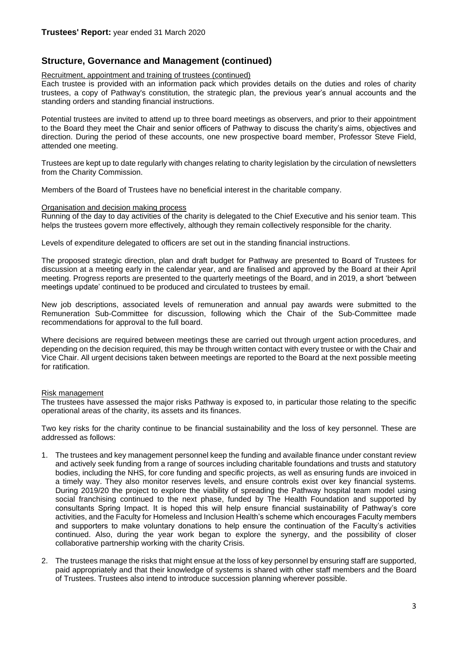## **Structure, Governance and Management (continued)**

#### Recruitment, appointment and training of trustees (continued)

Each trustee is provided with an information pack which provides details on the duties and roles of charity trustees, a copy of Pathway's constitution, the strategic plan, the previous year's annual accounts and the standing orders and standing financial instructions.

Potential trustees are invited to attend up to three board meetings as observers, and prior to their appointment to the Board they meet the Chair and senior officers of Pathway to discuss the charity's aims, objectives and direction. During the period of these accounts, one new prospective board member, Professor Steve Field, attended one meeting.

Trustees are kept up to date regularly with changes relating to charity legislation by the circulation of newsletters from the Charity Commission.

Members of the Board of Trustees have no beneficial interest in the charitable company.

#### Organisation and decision making process

Running of the day to day activities of the charity is delegated to the Chief Executive and his senior team. This helps the trustees govern more effectively, although they remain collectively responsible for the charity.

Levels of expenditure delegated to officers are set out in the standing financial instructions.

The proposed strategic direction, plan and draft budget for Pathway are presented to Board of Trustees for discussion at a meeting early in the calendar year, and are finalised and approved by the Board at their April meeting. Progress reports are presented to the quarterly meetings of the Board, and in 2019, a short 'between meetings update' continued to be produced and circulated to trustees by email.

New job descriptions, associated levels of remuneration and annual pay awards were submitted to the Remuneration Sub-Committee for discussion, following which the Chair of the Sub-Committee made recommendations for approval to the full board.

Where decisions are required between meetings these are carried out through urgent action procedures, and depending on the decision required, this may be through written contact with every trustee or with the Chair and Vice Chair. All urgent decisions taken between meetings are reported to the Board at the next possible meeting for ratification.

#### Risk management

The trustees have assessed the major risks Pathway is exposed to, in particular those relating to the specific operational areas of the charity, its assets and its finances.

Two key risks for the charity continue to be financial sustainability and the loss of key personnel. These are addressed as follows:

- 1. The trustees and key management personnel keep the funding and available finance under constant review and actively seek funding from a range of sources including charitable foundations and trusts and statutory bodies, including the NHS, for core funding and specific projects, as well as ensuring funds are invoiced in a timely way. They also monitor reserves levels, and ensure controls exist over key financial systems. During 2019/20 the project to explore the viability of spreading the Pathway hospital team model using social franchising continued to the next phase, funded by The Health Foundation and supported by consultants Spring Impact. It is hoped this will help ensure financial sustainability of Pathway's core activities, and the Faculty for Homeless and Inclusion Health's scheme which encourages Faculty members and supporters to make voluntary donations to help ensure the continuation of the Faculty's activities continued. Also, during the year work began to explore the synergy, and the possibility of closer collaborative partnership working with the charity Crisis.
- 2. The trustees manage the risks that might ensue at the loss of key personnel by ensuring staff are supported, paid appropriately and that their knowledge of systems is shared with other staff members and the Board of Trustees. Trustees also intend to introduce succession planning wherever possible.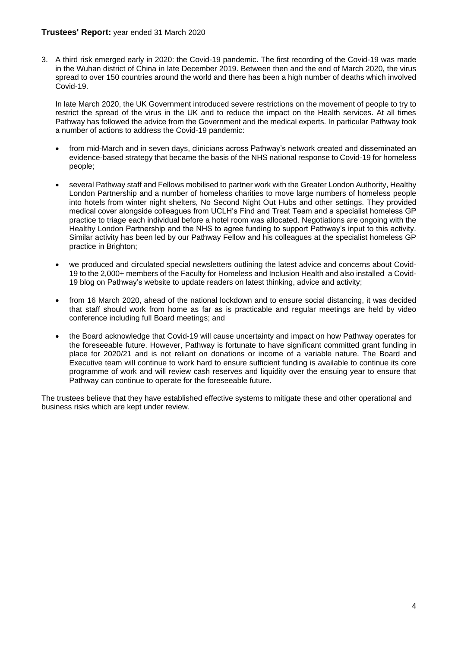#### **Trustees' Report:** year ended 31 March 2020

3. A third risk emerged early in 2020: the Covid-19 pandemic. The first recording of the Covid-19 was made in the Wuhan district of China in late December 2019. Between then and the end of March 2020, the virus spread to over 150 countries around the world and there has been a high number of deaths which involved Covid-19.

In late March 2020, the UK Government introduced severe restrictions on the movement of people to try to restrict the spread of the virus in the UK and to reduce the impact on the Health services. At all times Pathway has followed the advice from the Government and the medical experts. In particular Pathway took a number of actions to address the Covid-19 pandemic:

- from mid-March and in seven days, clinicians across Pathway's network created and disseminated an evidence-based strategy that became the basis of the NHS national response to Covid-19 for homeless people;
- several Pathway staff and Fellows mobilised to partner work with the Greater London Authority, Healthy London Partnership and a number of homeless charities to move large numbers of homeless people into hotels from winter night shelters, No Second Night Out Hubs and other settings. They provided medical cover alongside colleagues from UCLH's Find and Treat Team and a specialist homeless GP practice to triage each individual before a hotel room was allocated. Negotiations are ongoing with the Healthy London Partnership and the NHS to agree funding to support Pathway's input to this activity. Similar activity has been led by our Pathway Fellow and his colleagues at the specialist homeless GP practice in Brighton;
- we produced and circulated special newsletters outlining the latest advice and concerns about Covid-19 to the 2,000+ members of the Faculty for Homeless and Inclusion Health and also installed a Covid-19 blog on Pathway's website to update readers on latest thinking, advice and activity;
- from 16 March 2020, ahead of the national lockdown and to ensure social distancing, it was decided that staff should work from home as far as is practicable and regular meetings are held by video conference including full Board meetings; and
- the Board acknowledge that Covid-19 will cause uncertainty and impact on how Pathway operates for the foreseeable future. However, Pathway is fortunate to have significant committed grant funding in place for 2020/21 and is not reliant on donations or income of a variable nature. The Board and Executive team will continue to work hard to ensure sufficient funding is available to continue its core programme of work and will review cash reserves and liquidity over the ensuing year to ensure that Pathway can continue to operate for the foreseeable future.

The trustees believe that they have established effective systems to mitigate these and other operational and business risks which are kept under review.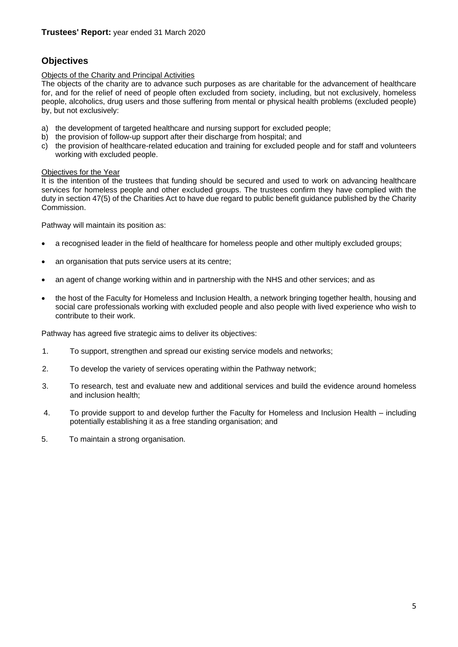## **Objectives**

#### Objects of the Charity and Principal Activities

The objects of the charity are to advance such purposes as are charitable for the advancement of healthcare for, and for the relief of need of people often excluded from society, including, but not exclusively, homeless people, alcoholics, drug users and those suffering from mental or physical health problems (excluded people) by, but not exclusively:

- a) the development of targeted healthcare and nursing support for excluded people;
- b) the provision of follow-up support after their discharge from hospital; and
- c) the provision of healthcare-related education and training for excluded people and for staff and volunteers working with excluded people.

#### Objectives for the Year

It is the intention of the trustees that funding should be secured and used to work on advancing healthcare services for homeless people and other excluded groups. The trustees confirm they have complied with the duty in section 47(5) of the Charities Act to have due regard to public benefit guidance published by the Charity Commission.

Pathway will maintain its position as:

- a recognised leader in the field of healthcare for homeless people and other multiply excluded groups;
- an organisation that puts service users at its centre;
- an agent of change working within and in partnership with the NHS and other services; and as
- the host of the Faculty for Homeless and Inclusion Health, a network bringing together health, housing and social care professionals working with excluded people and also people with lived experience who wish to contribute to their work.

Pathway has agreed five strategic aims to deliver its objectives:

- 1. To support, strengthen and spread our existing service models and networks;
- 2. To develop the variety of services operating within the Pathway network;
- 3. To research, test and evaluate new and additional services and build the evidence around homeless and inclusion health;
- 4. To provide support to and develop further the Faculty for Homeless and Inclusion Health including potentially establishing it as a free standing organisation; and
- 5. To maintain a strong organisation.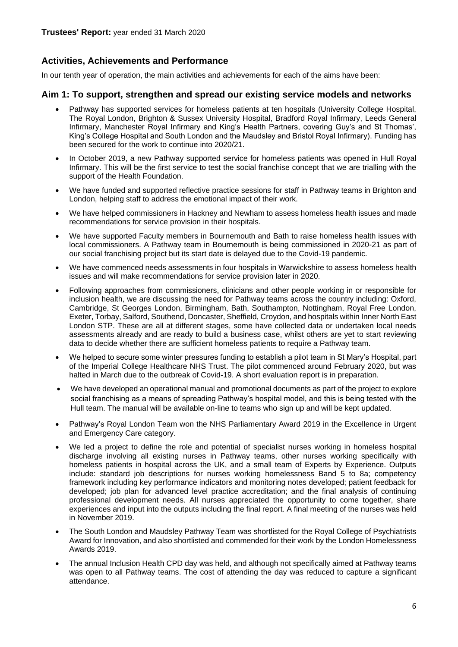## **Activities, Achievements and Performance**

In our tenth year of operation, the main activities and achievements for each of the aims have been:

### **Aim 1: To support, strengthen and spread our existing service models and networks**

- Pathway has supported services for homeless patients at ten hospitals (University College Hospital, The Royal London, Brighton & Sussex University Hospital, Bradford Royal Infirmary, Leeds General Infirmary, Manchester Royal Infirmary and King's Health Partners, covering Guy's and St Thomas', King's College Hospital and South London and the Maudsley and Bristol Royal Infirmary). Funding has been secured for the work to continue into 2020/21.
- In October 2019, a new Pathway supported service for homeless patients was opened in Hull Royal Infirmary. This will be the first service to test the social franchise concept that we are trialling with the support of the Health Foundation.
- We have funded and supported reflective practice sessions for staff in Pathway teams in Brighton and London, helping staff to address the emotional impact of their work.
- We have helped commissioners in Hackney and Newham to assess homeless health issues and made recommendations for service provision in their hospitals.
- We have supported Faculty members in Bournemouth and Bath to raise homeless health issues with local commissioners. A Pathway team in Bournemouth is being commissioned in 2020-21 as part of our social franchising project but its start date is delayed due to the Covid-19 pandemic.
- We have commenced needs assessments in four hospitals in Warwickshire to assess homeless health issues and will make recommendations for service provision later in 2020.
- Following approaches from commissioners, clinicians and other people working in or responsible for inclusion health, we are discussing the need for Pathway teams across the country including: Oxford, Cambridge, St Georges London, Birmingham, Bath, Southampton, Nottingham, Royal Free London, Exeter, Torbay, Salford, Southend, Doncaster, Sheffield, Croydon, and hospitals within Inner North East London STP. These are all at different stages, some have collected data or undertaken local needs assessments already and are ready to build a business case, whilst others are yet to start reviewing data to decide whether there are sufficient homeless patients to require a Pathway team.
- We helped to secure some winter pressures funding to establish a pilot team in St Mary's Hospital, part of the Imperial College Healthcare NHS Trust. The pilot commenced around February 2020, but was halted in March due to the outbreak of Covid-19. A short evaluation report is in preparation.
- We have developed an operational manual and promotional documents as part of the project to explore social franchising as a means of spreading Pathway's hospital model, and this is being tested with the Hull team. The manual will be available on-line to teams who sign up and will be kept updated.
- Pathway's Royal London Team won the NHS Parliamentary Award 2019 in the Excellence in Urgent and Emergency Care category.
- We led a project to define the role and potential of specialist nurses working in homeless hospital discharge involving all existing nurses in Pathway teams, other nurses working specifically with homeless patients in hospital across the UK, and a small team of Experts by Experience. Outputs include: standard job descriptions for nurses working homelessness Band 5 to 8a; competency framework including key performance indicators and monitoring notes developed; patient feedback for developed; job plan for advanced level practice accreditation; and the final analysis of continuing professional development needs. All nurses appreciated the opportunity to come together, share experiences and input into the outputs including the final report. A final meeting of the nurses was held in November 2019.
- The South London and Maudsley Pathway Team was shortlisted for the Royal College of Psychiatrists Award for Innovation, and also shortlisted and commended for their work by the London Homelessness Awards 2019.
- The annual Inclusion Health CPD day was held, and although not specifically aimed at Pathway teams was open to all Pathway teams. The cost of attending the day was reduced to capture a significant attendance.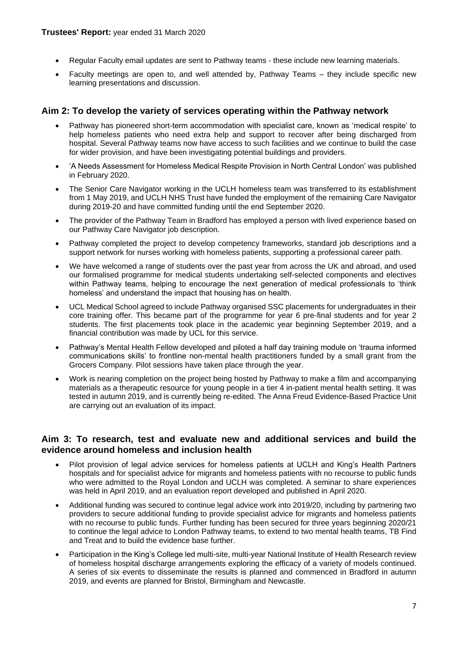- Regular Faculty email updates are sent to Pathway teams these include new learning materials.
- Faculty meetings are open to, and well attended by, Pathway Teams they include specific new learning presentations and discussion.

## **Aim 2: To develop the variety of services operating within the Pathway network**

- Pathway has pioneered short-term accommodation with specialist care, known as 'medical respite' to help homeless patients who need extra help and support to recover after being discharged from hospital. Several Pathway teams now have access to such facilities and we continue to build the case for wider provision, and have been investigating potential buildings and providers.
- 'A Needs Assessment for Homeless Medical Respite Provision in North Central London' was published in February 2020.
- The Senior Care Navigator working in the UCLH homeless team was transferred to its establishment from 1 May 2019, and UCLH NHS Trust have funded the employment of the remaining Care Navigator during 2019-20 and have committed funding until the end September 2020.
- The provider of the Pathway Team in Bradford has employed a person with lived experience based on our Pathway Care Navigator job description.
- Pathway completed the project to develop competency frameworks, standard job descriptions and a support network for nurses working with homeless patients, supporting a professional career path.
- We have welcomed a range of students over the past year from across the UK and abroad, and used our formalised programme for medical students undertaking self-selected components and electives within Pathway teams, helping to encourage the next generation of medical professionals to 'think homeless' and understand the impact that housing has on health.
- UCL Medical School agreed to include Pathway organised SSC placements for undergraduates in their core training offer. This became part of the programme for year 6 pre-final students and for year 2 students. The first placements took place in the academic year beginning September 2019, and a financial contribution was made by UCL for this service.
- Pathway's Mental Health Fellow developed and piloted a half day training module on 'trauma informed communications skills' to frontline non-mental health practitioners funded by a small grant from the Grocers Company. Pilot sessions have taken place through the year.
- Work is nearing completion on the project being hosted by Pathway to make a film and accompanying materials as a therapeutic resource for young people in a tier 4 in-patient mental health setting. It was tested in autumn 2019, and is currently being re-edited. The Anna Freud Evidence-Based Practice Unit are carrying out an evaluation of its impact.

## **Aim 3: To research, test and evaluate new and additional services and build the evidence around homeless and inclusion health**

- Pilot provision of legal advice services for homeless patients at UCLH and King's Health Partners hospitals and for specialist advice for migrants and homeless patients with no recourse to public funds who were admitted to the Royal London and UCLH was completed. A seminar to share experiences was held in April 2019, and an evaluation report developed and published in April 2020.
- Additional funding was secured to continue legal advice work into 2019/20, including by partnering two providers to secure additional funding to provide specialist advice for migrants and homeless patients with no recourse to public funds. Further funding has been secured for three years beginning 2020/21 to continue the legal advice to London Pathway teams, to extend to two mental health teams, TB Find and Treat and to build the evidence base further.
- Participation in the King's College led multi-site, multi-year National Institute of Health Research review of homeless hospital discharge arrangements exploring the efficacy of a variety of models continued. A series of six events to disseminate the results is planned and commenced in Bradford in autumn 2019, and events are planned for Bristol, Birmingham and Newcastle.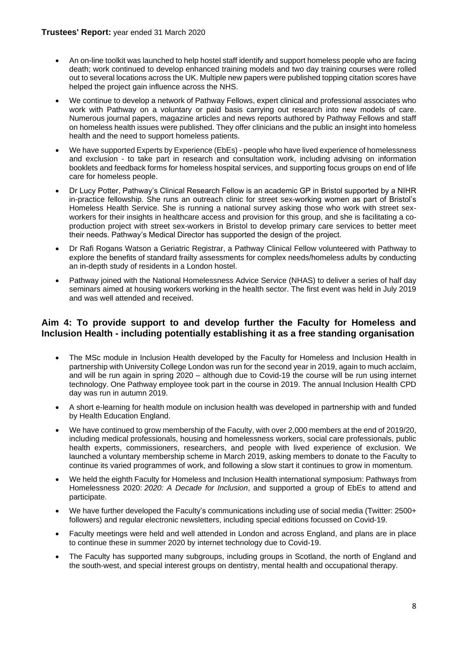- An on-line toolkit was launched to help hostel staff identify and support homeless people who are facing death; work continued to develop enhanced training models and two day training courses were rolled out to several locations across the UK. Multiple new papers were published topping citation scores have helped the project gain influence across the NHS.
- We continue to develop a network of Pathway Fellows, expert clinical and professional associates who work with Pathway on a voluntary or paid basis carrying out research into new models of care. Numerous journal papers, magazine articles and news reports authored by Pathway Fellows and staff on homeless health issues were published. They offer clinicians and the public an insight into homeless health and the need to support homeless patients.
- We have supported Experts by Experience (EbEs) people who have lived experience of homelessness and exclusion - to take part in research and consultation work, including advising on information booklets and feedback forms for homeless hospital services, and supporting focus groups on end of life care for homeless people.
- Dr Lucy Potter, Pathway's Clinical Research Fellow is an academic GP in Bristol supported by a NIHR in-practice fellowship. She runs an outreach clinic for street sex-working women as part of Bristol's Homeless Health Service. She is running a national survey asking those who work with street sexworkers for their insights in healthcare access and provision for this group, and she is facilitating a coproduction project with street sex-workers in Bristol to develop primary care services to better meet their needs. Pathway's Medical Director has supported the design of the project.
- Dr Rafi Rogans Watson a Geriatric Registrar, a Pathway Clinical Fellow volunteered with Pathway to explore the benefits of standard frailty assessments for complex needs/homeless adults by conducting an in-depth study of residents in a London hostel.
- Pathway joined with the National Homelessness Advice Service (NHAS) to deliver a series of half day seminars aimed at housing workers working in the health sector. The first event was held in July 2019 and was well attended and received.

## **Aim 4: To provide support to and develop further the Faculty for Homeless and Inclusion Health - including potentially establishing it as a free standing organisation**

- The MSc module in Inclusion Health developed by the Faculty for Homeless and Inclusion Health in partnership with University College London was run for the second year in 2019, again to much acclaim, and will be run again in spring 2020 – although due to Covid-19 the course will be run using internet technology. One Pathway employee took part in the course in 2019. The annual Inclusion Health CPD day was run in autumn 2019.
- A short e-learning for health module on inclusion health was developed in partnership with and funded by Health Education England.
- We have continued to grow membership of the Faculty, with over 2,000 members at the end of 2019/20, including medical professionals, housing and homelessness workers, social care professionals, public health experts, commissioners, researchers, and people with lived experience of exclusion. We launched a voluntary membership scheme in March 2019, asking members to donate to the Faculty to continue its varied programmes of work, and following a slow start it continues to grow in momentum.
- We held the eighth Faculty for Homeless and Inclusion Health international symposium: Pathways from Homelessness 2020: *2020: A Decade for Inclusion*, and supported a group of EbEs to attend and participate.
- We have further developed the Faculty's communications including use of social media (Twitter: 2500+ followers) and regular electronic newsletters, including special editions focussed on Covid-19.
- Faculty meetings were held and well attended in London and across England, and plans are in place to continue these in summer 2020 by internet technology due to Covid-19.
- The Faculty has supported many subgroups, including groups in Scotland, the north of England and the south-west, and special interest groups on dentistry, mental health and occupational therapy.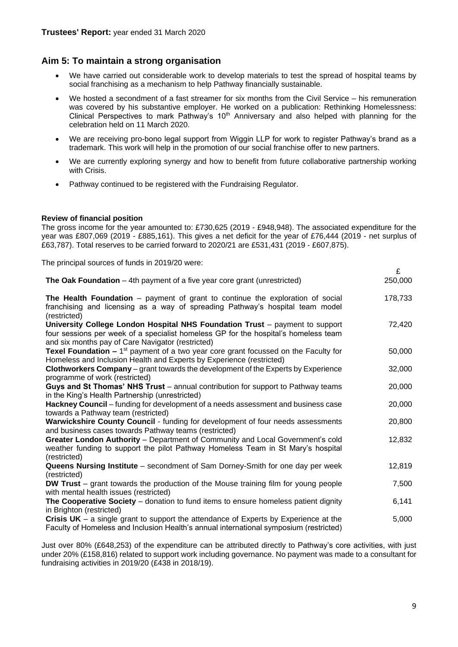## **Aim 5: To maintain a strong organisation**

- We have carried out considerable work to develop materials to test the spread of hospital teams by social franchising as a mechanism to help Pathway financially sustainable.
- We hosted a secondment of a fast streamer for six months from the Civil Service his remuneration was covered by his substantive employer. He worked on a publication: Rethinking Homelessness: Clinical Perspectives to mark Pathway's 10<sup>th</sup> Anniversary and also helped with planning for the celebration held on 11 March 2020.
- We are receiving pro-bono legal support from Wiggin LLP for work to register Pathway's brand as a trademark. This work will help in the promotion of our social franchise offer to new partners.
- We are currently exploring synergy and how to benefit from future collaborative partnership working with Crisis.
- Pathway continued to be registered with the Fundraising Regulator.

#### **Review of financial position**

The gross income for the year amounted to: £730,625 (2019 - £948,948). The associated expenditure for the year was £807,069 (2019 - £885,161). This gives a net deficit for the year of £76,444 (2019 - net surplus of £63,787). Total reserves to be carried forward to 2020/21 are £531,431 (2019 - £607,875).

The principal sources of funds in 2019/20 were:

| The Oak Foundation - 4th payment of a five year core grant (unrestricted)                                                                                                                                                | 250,000 |
|--------------------------------------------------------------------------------------------------------------------------------------------------------------------------------------------------------------------------|---------|
| The Health Foundation – payment of grant to continue the exploration of social<br>franchising and licensing as a way of spreading Pathway's hospital team model<br>(restricted)                                          | 178,733 |
| University College London Hospital NHS Foundation Trust - payment to support<br>four sessions per week of a specialist homeless GP for the hospital's homeless team<br>and six months pay of Care Navigator (restricted) | 72,420  |
| <b>Texel Foundation –</b> 1 <sup>st</sup> payment of a two year core grant focussed on the Faculty for<br>Homeless and Inclusion Health and Experts by Experience (restricted)                                           | 50,000  |
| <b>Clothworkers Company</b> – grant towards the development of the Experts by Experience<br>programme of work (restricted)                                                                                               | 32,000  |
| Guys and St Thomas' NHS Trust – annual contribution for support to Pathway teams<br>in the King's Health Partnership (unrestricted)                                                                                      | 20,000  |
| Hackney Council - funding for development of a needs assessment and business case<br>towards a Pathway team (restricted)                                                                                                 | 20,000  |
| Warwickshire County Council - funding for development of four needs assessments<br>and business cases towards Pathway teams (restricted)                                                                                 | 20,800  |
| Greater London Authority - Department of Community and Local Government's cold<br>weather funding to support the pilot Pathway Homeless Team in St Mary's hospital<br>(restricted)                                       | 12,832  |
| Queens Nursing Institute - secondment of Sam Dorney-Smith for one day per week<br>(restricted)                                                                                                                           | 12,819  |
| DW Trust - grant towards the production of the Mouse training film for young people<br>with mental health issues (restricted)                                                                                            | 7,500   |
| The Cooperative Society - donation to fund items to ensure homeless patient dignity<br>in Brighton (restricted)                                                                                                          | 6,141   |
| Crisis $UK - a$ single grant to support the attendance of Experts by Experience at the<br>Faculty of Homeless and Inclusion Health's annual international symposium (restricted)                                         | 5,000   |

Just over 80% (£648,253) of the expenditure can be attributed directly to Pathway's core activities, with just under 20% (£158,816) related to support work including governance. No payment was made to a consultant for fundraising activities in 2019/20 (£438 in 2018/19).

£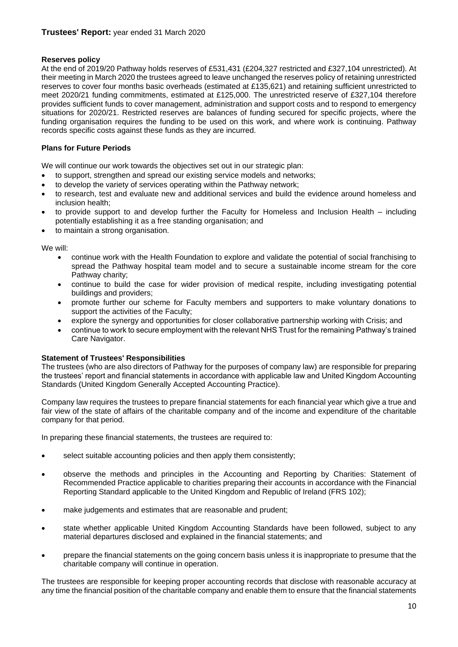#### **Reserves policy**

At the end of 2019/20 Pathway holds reserves of £531,431 (£204,327 restricted and £327,104 unrestricted). At their meeting in March 2020 the trustees agreed to leave unchanged the reserves policy of retaining unrestricted reserves to cover four months basic overheads (estimated at £135,621) and retaining sufficient unrestricted to meet 2020/21 funding commitments, estimated at £125,000. The unrestricted reserve of £327,104 therefore provides sufficient funds to cover management, administration and support costs and to respond to emergency situations for 2020/21. Restricted reserves are balances of funding secured for specific projects, where the funding organisation requires the funding to be used on this work, and where work is continuing. Pathway records specific costs against these funds as they are incurred.

#### **Plans for Future Periods**

We will continue our work towards the objectives set out in our strategic plan:

- to support, strengthen and spread our existing service models and networks;
- to develop the variety of services operating within the Pathway network;
- to research, test and evaluate new and additional services and build the evidence around homeless and inclusion health;
- to provide support to and develop further the Faculty for Homeless and Inclusion Health including potentially establishing it as a free standing organisation; and
- to maintain a strong organisation.

We will:

- continue work with the Health Foundation to explore and validate the potential of social franchising to spread the Pathway hospital team model and to secure a sustainable income stream for the core Pathway charity;
- continue to build the case for wider provision of medical respite, including investigating potential buildings and providers;
- promote further our scheme for Faculty members and supporters to make voluntary donations to support the activities of the Faculty;
- explore the synergy and opportunities for closer collaborative partnership working with Crisis; and
- continue to work to secure employment with the relevant NHS Trust for the remaining Pathway's trained Care Navigator.

#### **Statement of Trustees' Responsibilities**

The trustees (who are also directors of Pathway for the purposes of company law) are responsible for preparing the trustees' report and financial statements in accordance with applicable law and United Kingdom Accounting Standards (United Kingdom Generally Accepted Accounting Practice).

Company law requires the trustees to prepare financial statements for each financial year which give a true and fair view of the state of affairs of the charitable company and of the income and expenditure of the charitable company for that period.

In preparing these financial statements, the trustees are required to:

- select suitable accounting policies and then apply them consistently;
- observe the methods and principles in the Accounting and Reporting by Charities: Statement of Recommended Practice applicable to charities preparing their accounts in accordance with the Financial Reporting Standard applicable to the United Kingdom and Republic of Ireland (FRS 102);
- make judgements and estimates that are reasonable and prudent;
- state whether applicable United Kingdom Accounting Standards have been followed, subject to any material departures disclosed and explained in the financial statements; and
- prepare the financial statements on the going concern basis unless it is inappropriate to presume that the charitable company will continue in operation.

The trustees are responsible for keeping proper accounting records that disclose with reasonable accuracy at any time the financial position of the charitable company and enable them to ensure that the financial statements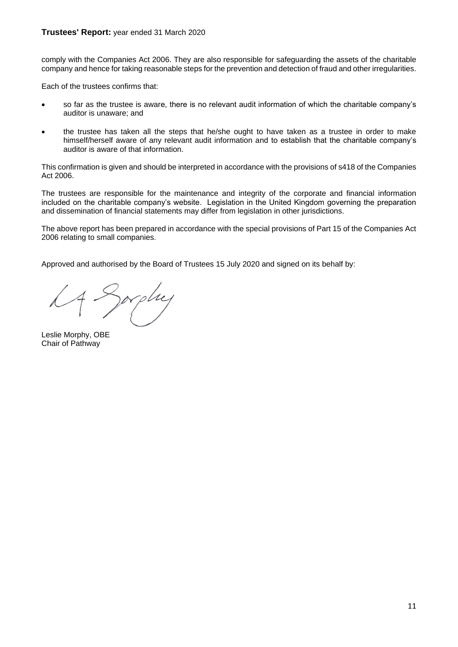#### **Trustees' Report:** year ended 31 March 2020

comply with the Companies Act 2006. They are also responsible for safeguarding the assets of the charitable company and hence for taking reasonable steps for the prevention and detection of fraud and other irregularities.

Each of the trustees confirms that:

- so far as the trustee is aware, there is no relevant audit information of which the charitable company's auditor is unaware; and
- the trustee has taken all the steps that he/she ought to have taken as a trustee in order to make himself/herself aware of any relevant audit information and to establish that the charitable company's auditor is aware of that information.

This confirmation is given and should be interpreted in accordance with the provisions of s418 of the Companies Act 2006.

The trustees are responsible for the maintenance and integrity of the corporate and financial information included on the charitable company's website. Legislation in the United Kingdom governing the preparation and dissemination of financial statements may differ from legislation in other jurisdictions.

The above report has been prepared in accordance with the special provisions of Part 15 of the Companies Act 2006 relating to small companies.

Approved and authorised by the Board of Trustees 15 July 2020 and signed on its behalf by:

prplu

<span id="page-12-0"></span>Leslie Morphy, OBE Chair of Pathway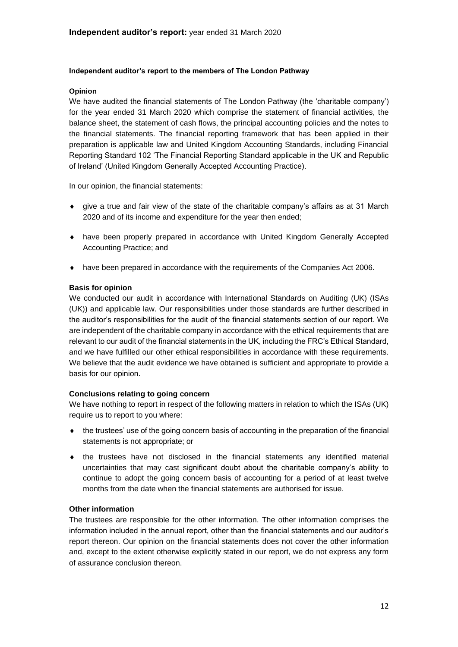#### **Independent auditor's report to the members of The London Pathway**

#### **Opinion**

We have audited the financial statements of The London Pathway (the 'charitable company') for the year ended 31 March 2020 which comprise the statement of financial activities, the balance sheet, the statement of cash flows, the principal accounting policies and the notes to the financial statements. The financial reporting framework that has been applied in their preparation is applicable law and United Kingdom Accounting Standards, including Financial Reporting Standard 102 'The Financial Reporting Standard applicable in the UK and Republic of Ireland' (United Kingdom Generally Accepted Accounting Practice).

In our opinion, the financial statements:

- give a true and fair view of the state of the charitable company's affairs as at 31 March 2020 and of its income and expenditure for the year then ended;
- have been properly prepared in accordance with United Kingdom Generally Accepted Accounting Practice; and
- have been prepared in accordance with the requirements of the Companies Act 2006.

#### **Basis for opinion**

We conducted our audit in accordance with International Standards on Auditing (UK) (ISAs (UK)) and applicable law. Our responsibilities under those standards are further described in the auditor's responsibilities for the audit of the financial statements section of our report. We are independent of the charitable company in accordance with the ethical requirements that are relevant to our audit of the financial statements in the UK, including the FRC's Ethical Standard, and we have fulfilled our other ethical responsibilities in accordance with these requirements. We believe that the audit evidence we have obtained is sufficient and appropriate to provide a basis for our opinion.

#### **Conclusions relating to going concern**

We have nothing to report in respect of the following matters in relation to which the ISAs (UK) require us to report to you where:

- $\bullet$  the trustees' use of the going concern basis of accounting in the preparation of the financial statements is not appropriate; or
- $\bullet$  the trustees have not disclosed in the financial statements any identified material uncertainties that may cast significant doubt about the charitable company's ability to continue to adopt the going concern basis of accounting for a period of at least twelve months from the date when the financial statements are authorised for issue.

#### **Other information**

The trustees are responsible for the other information. The other information comprises the information included in the annual report, other than the financial statements and our auditor's report thereon. Our opinion on the financial statements does not cover the other information and, except to the extent otherwise explicitly stated in our report, we do not express any form of assurance conclusion thereon.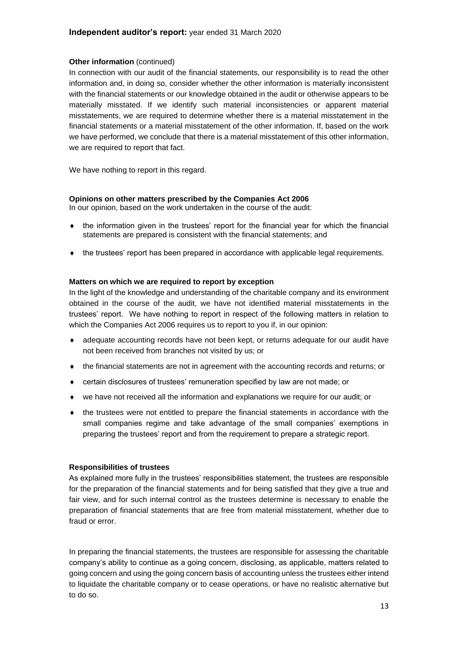#### **Other information** (continued)

In connection with our audit of the financial statements, our responsibility is to read the other information and, in doing so, consider whether the other information is materially inconsistent with the financial statements or our knowledge obtained in the audit or otherwise appears to be materially misstated. If we identify such material inconsistencies or apparent material misstatements, we are required to determine whether there is a material misstatement in the financial statements or a material misstatement of the other information. If, based on the work we have performed, we conclude that there is a material misstatement of this other information, we are required to report that fact.

We have nothing to report in this regard.

#### **Opinions on other matters prescribed by the Companies Act 2006**

In our opinion, based on the work undertaken in the course of the audit:

- $\bullet$  the information given in the trustees' report for the financial year for which the financial statements are prepared is consistent with the financial statements; and
- $\bullet$  the trustees' report has been prepared in accordance with applicable legal requirements.

#### **Matters on which we are required to report by exception**

In the light of the knowledge and understanding of the charitable company and its environment obtained in the course of the audit, we have not identified material misstatements in the trustees' report. We have nothing to report in respect of the following matters in relation to which the Companies Act 2006 requires us to report to you if, in our opinion:

- adequate accounting records have not been kept, or returns adequate for our audit have not been received from branches not visited by us; or
- the financial statements are not in agreement with the accounting records and returns; or
- certain disclosures of trustees' remuneration specified by law are not made; or
- we have not received all the information and explanations we require for our audit; or
- the trustees were not entitled to prepare the financial statements in accordance with the small companies regime and take advantage of the small companies' exemptions in preparing the trustees' report and from the requirement to prepare a strategic report.

#### **Responsibilities of trustees**

As explained more fully in the trustees' responsibilities statement, the trustees are responsible for the preparation of the financial statements and for being satisfied that they give a true and fair view, and for such internal control as the trustees determine is necessary to enable the preparation of financial statements that are free from material misstatement, whether due to fraud or error.

In preparing the financial statements, the trustees are responsible for assessing the charitable company's ability to continue as a going concern, disclosing, as applicable, matters related to going concern and using the going concern basis of accounting unless the trustees either intend to liquidate the charitable company or to cease operations, or have no realistic alternative but to do so.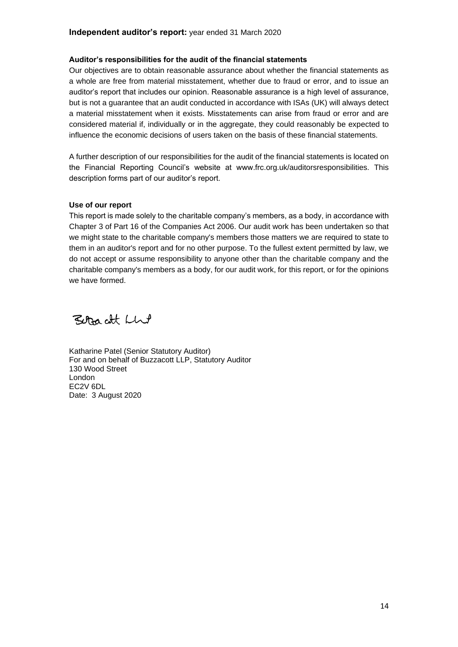#### **Auditor's responsibilities for the audit of the financial statements**

Our objectives are to obtain reasonable assurance about whether the financial statements as a whole are free from material misstatement, whether due to fraud or error, and to issue an auditor's report that includes our opinion. Reasonable assurance is a high level of assurance, but is not a guarantee that an audit conducted in accordance with ISAs (UK) will always detect a material misstatement when it exists. Misstatements can arise from fraud or error and are considered material if, individually or in the aggregate, they could reasonably be expected to influence the economic decisions of users taken on the basis of these financial statements.

A further description of our responsibilities for the audit of the financial statements is located on the Financial Reporting Council's website at www.frc.org.uk/auditorsresponsibilities. This description forms part of our auditor's report.

#### **Use of our report**

This report is made solely to the charitable company's members, as a body, in accordance with Chapter 3 of Part 16 of the Companies Act 2006. Our audit work has been undertaken so that we might state to the charitable company's members those matters we are required to state to them in an auditor's report and for no other purpose. To the fullest extent permitted by law, we do not accept or assume responsibility to anyone other than the charitable company and the charitable company's members as a body, for our audit work, for this report, or for the opinions we have formed.

Betracht Lhe

Katharine Patel (Senior Statutory Auditor) For and on behalf of Buzzacott LLP, Statutory Auditor 130 Wood Street London EC2V 6DL Date: 3 August 2020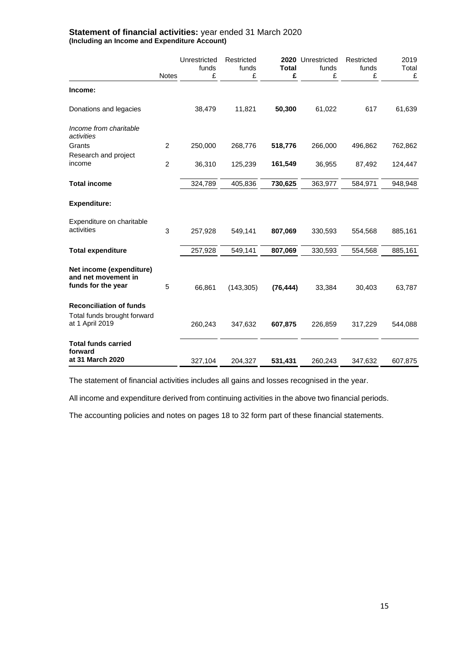<span id="page-16-0"></span>

|                                                                                  | <b>Notes</b>   | Unrestricted<br>funds<br>£ | Restricted<br>funds<br>£ | <b>Total</b><br>£ | 2020 Unrestricted<br>funds<br>£ | Restricted<br>funds<br>£ | 2019<br>Total<br>£ |
|----------------------------------------------------------------------------------|----------------|----------------------------|--------------------------|-------------------|---------------------------------|--------------------------|--------------------|
| Income:                                                                          |                |                            |                          |                   |                                 |                          |                    |
| Donations and legacies                                                           |                | 38,479                     | 11,821                   | 50,300            | 61,022                          | 617                      | 61,639             |
| Income from charitable<br>activities                                             |                |                            |                          |                   |                                 |                          |                    |
| Grants                                                                           | $\overline{c}$ | 250,000                    | 268,776                  | 518,776           | 266,000                         | 496,862                  | 762,862            |
| Research and project<br>income                                                   | $\overline{c}$ | 36,310                     | 125,239                  | 161,549           | 36,955                          | 87,492                   | 124,447            |
| <b>Total income</b>                                                              |                | 324,789                    | 405,836                  | 730,625           | 363,977                         | 584,971                  | 948,948            |
| <b>Expenditure:</b>                                                              |                |                            |                          |                   |                                 |                          |                    |
| Expenditure on charitable<br>activities                                          | 3              | 257,928                    | 549,141                  | 807,069           | 330,593                         | 554,568                  | 885,161            |
| <b>Total expenditure</b>                                                         |                | 257,928                    | 549,141                  | 807,069           | 330,593                         | 554,568                  | 885,161            |
| Net income (expenditure)<br>and net movement in<br>funds for the year            | 5              | 66,861                     | (143, 305)               | (76, 444)         | 33,384                          | 30,403                   | 63,787             |
| <b>Reconciliation of funds</b><br>Total funds brought forward<br>at 1 April 2019 |                | 260,243                    | 347,632                  | 607,875           | 226,859                         | 317,229                  | 544,088            |
| <b>Total funds carried</b><br>forward<br>at 31 March 2020                        |                | 327,104                    | 204,327                  | 531,431           | 260,243                         | 347,632                  | 607,875            |

#### **Statement of financial activities:** year ended 31 March 2020 **(Including an Income and Expenditure Account)**

The statement of financial activities includes all gains and losses recognised in the year.

All income and expenditure derived from continuing activities in the above two financial periods.

The accounting policies and notes on pages 18 to 32 form part of these financial statements.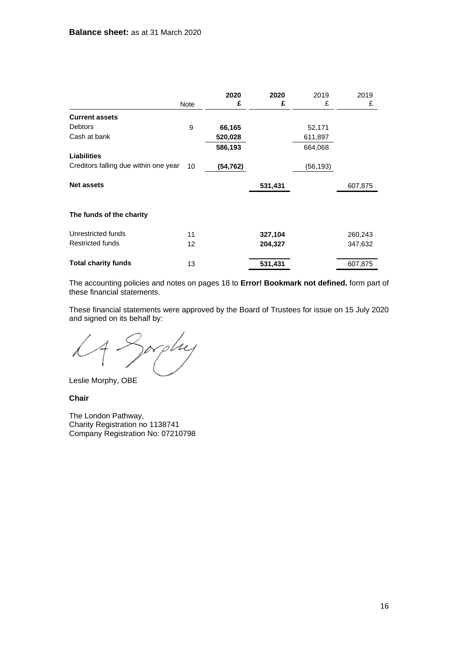<span id="page-17-0"></span>

|                                       |      | 2020     | 2020    | 2019      | 2019    |
|---------------------------------------|------|----------|---------|-----------|---------|
|                                       | Note | £        | £       | £         | £       |
| <b>Current assets</b>                 |      |          |         |           |         |
| <b>Debtors</b>                        | 9    | 66,165   |         | 52,171    |         |
| Cash at bank                          |      | 520,028  |         | 611,897   |         |
|                                       |      | 586,193  |         | 664,068   |         |
| <b>Liabilities</b>                    |      |          |         |           |         |
| Creditors falling due within one year | 10   | (54,762) |         | (56, 193) |         |
| <b>Net assets</b>                     |      |          | 531,431 |           | 607,875 |
| The funds of the charity              |      |          |         |           |         |
| Unrestricted funds                    | 11   |          | 327,104 |           | 260,243 |
| <b>Restricted funds</b>               | 12   |          | 204,327 |           | 347,632 |
| <b>Total charity funds</b>            | 13   |          | 531,431 |           | 607,875 |

The accounting policies and notes on pages 18 to **Error! Bookmark not defined.** form part of these financial statements.

These financial statements were approved by the Board of Trustees for issue on 15 July 2020 and signed on its behalf by:

Sorphy

Leslie Morphy, OBE

**Chair**

The London Pathway, Charity Registration no 1138741 Company Registration No: 07210798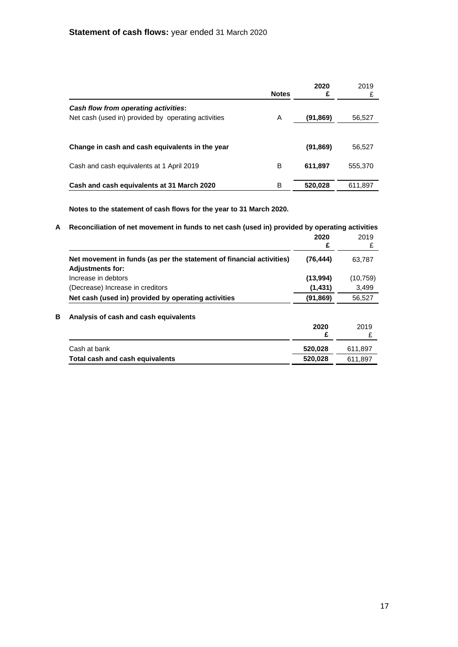|                                                     | <b>Notes</b> | 2020<br>£ | 2019<br>£ |
|-----------------------------------------------------|--------------|-----------|-----------|
| Cash flow from operating activities:                |              |           |           |
| Net cash (used in) provided by operating activities | A            | (91,869)  | 56,527    |
|                                                     |              |           |           |
| Change in cash and cash equivalents in the year     |              | (91,869)  | 56,527    |
| Cash and cash equivalents at 1 April 2019           | в            | 611,897   | 555,370   |
| Cash and cash equivalents at 31 March 2020          | в            | 520,028   | 611.897   |

**Notes to the statement of cash flows for the year to 31 March 2020.**

| Reconciliation of net movement in funds to net cash (used in) provided by operating activities |           |
|------------------------------------------------------------------------------------------------|-----------|
| 2020                                                                                           | 2019      |
| £                                                                                              | £         |
| (76, 444)                                                                                      | 63,787    |
|                                                                                                |           |
| (13,994)                                                                                       | (10, 759) |
| (1,431)                                                                                        | 3,499     |
| (91, 869)                                                                                      | 56,527    |
|                                                                                                |           |
| 2020                                                                                           | 2019      |
| £                                                                                              | £         |
| 520,028                                                                                        | 611,897   |
| 520,028                                                                                        | 611,897   |
|                                                                                                |           |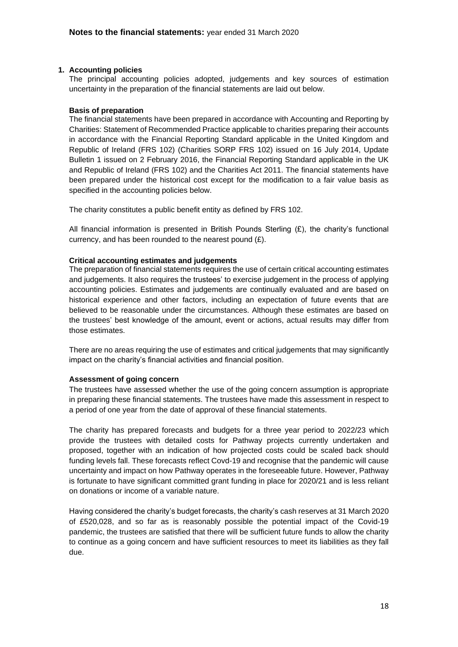#### **1. Accounting policies**

<span id="page-19-0"></span>The principal accounting policies adopted, judgements and key sources of estimation uncertainty in the preparation of the financial statements are laid out below.

#### **Basis of preparation**

The financial statements have been prepared in accordance with Accounting and Reporting by Charities: Statement of Recommended Practice applicable to charities preparing their accounts in accordance with the Financial Reporting Standard applicable in the United Kingdom and Republic of Ireland (FRS 102) (Charities SORP FRS 102) issued on 16 July 2014, Update Bulletin 1 issued on 2 February 2016, the Financial Reporting Standard applicable in the UK and Republic of Ireland (FRS 102) and the Charities Act 2011. The financial statements have been prepared under the historical cost except for the modification to a fair value basis as specified in the accounting policies below.

The charity constitutes a public benefit entity as defined by FRS 102.

All financial information is presented in British Pounds Sterling  $(E)$ , the charity's functional currency, and has been rounded to the nearest pound (£).

#### **Critical accounting estimates and judgements**

The preparation of financial statements requires the use of certain critical accounting estimates and judgements. It also requires the trustees' to exercise judgement in the process of applying accounting policies. Estimates and judgements are continually evaluated and are based on historical experience and other factors, including an expectation of future events that are believed to be reasonable under the circumstances. Although these estimates are based on the trustees' best knowledge of the amount, event or actions, actual results may differ from those estimates.

There are no areas requiring the use of estimates and critical judgements that may significantly impact on the charity's financial activities and financial position.

#### **Assessment of going concern**

The trustees have assessed whether the use of the going concern assumption is appropriate in preparing these financial statements. The trustees have made this assessment in respect to a period of one year from the date of approval of these financial statements.

The charity has prepared forecasts and budgets for a three year period to 2022/23 which provide the trustees with detailed costs for Pathway projects currently undertaken and proposed, together with an indication of how projected costs could be scaled back should funding levels fall. These forecasts reflect Covd-19 and recognise that the pandemic will cause uncertainty and impact on how Pathway operates in the foreseeable future. However, Pathway is fortunate to have significant committed grant funding in place for 2020/21 and is less reliant on donations or income of a variable nature.

Having considered the charity's budget forecasts, the charity's cash reserves at 31 March 2020 of £520,028, and so far as is reasonably possible the potential impact of the Covid-19 pandemic, the trustees are satisfied that there will be sufficient future funds to allow the charity to continue as a going concern and have sufficient resources to meet its liabilities as they fall due.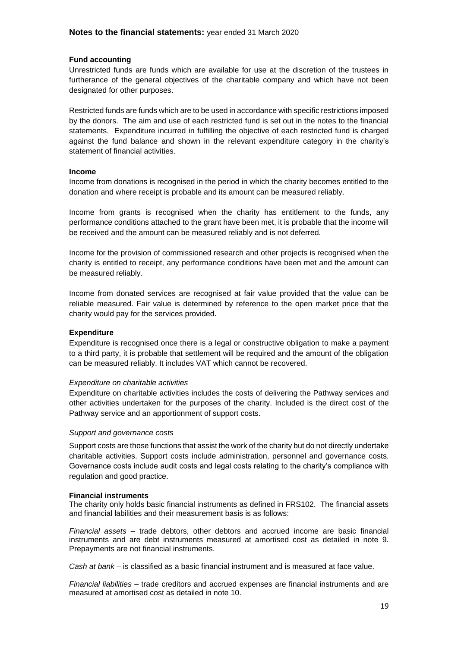#### **Fund accounting**

Unrestricted funds are funds which are available for use at the discretion of the trustees in furtherance of the general objectives of the charitable company and which have not been designated for other purposes.

Restricted funds are funds which are to be used in accordance with specific restrictions imposed by the donors. The aim and use of each restricted fund is set out in the notes to the financial statements. Expenditure incurred in fulfilling the objective of each restricted fund is charged against the fund balance and shown in the relevant expenditure category in the charity's statement of financial activities.

#### **Income**

Income from donations is recognised in the period in which the charity becomes entitled to the donation and where receipt is probable and its amount can be measured reliably.

Income from grants is recognised when the charity has entitlement to the funds, any performance conditions attached to the grant have been met, it is probable that the income will be received and the amount can be measured reliably and is not deferred.

Income for the provision of commissioned research and other projects is recognised when the charity is entitled to receipt, any performance conditions have been met and the amount can be measured reliably.

Income from donated services are recognised at fair value provided that the value can be reliable measured. Fair value is determined by reference to the open market price that the charity would pay for the services provided.

#### **Expenditure**

Expenditure is recognised once there is a legal or constructive obligation to make a payment to a third party, it is probable that settlement will be required and the amount of the obligation can be measured reliably. It includes VAT which cannot be recovered.

#### *Expenditure on charitable activities*

Expenditure on charitable activities includes the costs of delivering the Pathway services and other activities undertaken for the purposes of the charity. Included is the direct cost of the Pathway service and an apportionment of support costs.

#### *Support and governance costs*

Support costs are those functions that assist the work of the charity but do not directly undertake charitable activities. Support costs include administration, personnel and governance costs. Governance costs include audit costs and legal costs relating to the charity's compliance with regulation and good practice.

#### **Financial instruments**

The charity only holds basic financial instruments as defined in FRS102. The financial assets and financial labilities and their measurement basis is as follows:

*Financial assets* – trade debtors, other debtors and accrued income are basic financial instruments and are debt instruments measured at amortised cost as detailed in note 9. Prepayments are not financial instruments.

*Cash at bank* – is classified as a basic financial instrument and is measured at face value.

*Financial liabilities –* trade creditors and accrued expenses are financial instruments and are measured at amortised cost as detailed in note 10.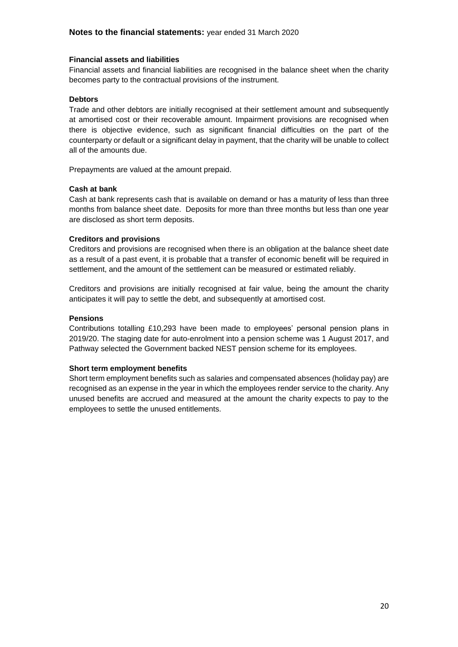#### **Financial assets and liabilities**

Financial assets and financial liabilities are recognised in the balance sheet when the charity becomes party to the contractual provisions of the instrument.

#### **Debtors**

Trade and other debtors are initially recognised at their settlement amount and subsequently at amortised cost or their recoverable amount. Impairment provisions are recognised when there is objective evidence, such as significant financial difficulties on the part of the counterparty or default or a significant delay in payment, that the charity will be unable to collect all of the amounts due.

Prepayments are valued at the amount prepaid.

#### **Cash at bank**

Cash at bank represents cash that is available on demand or has a maturity of less than three months from balance sheet date. Deposits for more than three months but less than one year are disclosed as short term deposits.

#### **Creditors and provisions**

Creditors and provisions are recognised when there is an obligation at the balance sheet date as a result of a past event, it is probable that a transfer of economic benefit will be required in settlement, and the amount of the settlement can be measured or estimated reliably.

Creditors and provisions are initially recognised at fair value, being the amount the charity anticipates it will pay to settle the debt, and subsequently at amortised cost.

#### **Pensions**

Contributions totalling £10,293 have been made to employees' personal pension plans in 2019/20. The staging date for auto-enrolment into a pension scheme was 1 August 2017, and Pathway selected the Government backed NEST pension scheme for its employees.

#### **Short term employment benefits**

Short term employment benefits such as salaries and compensated absences (holiday pay) are recognised as an expense in the year in which the employees render service to the charity. Any unused benefits are accrued and measured at the amount the charity expects to pay to the employees to settle the unused entitlements.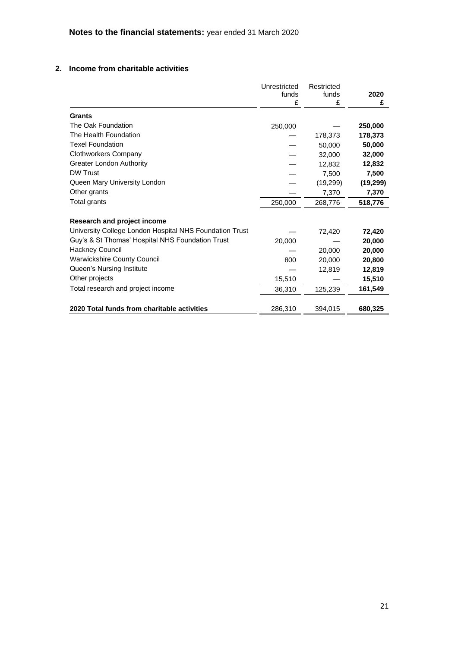## **2. Income from charitable activities**

|                                                         | Unrestricted<br>funds<br>£ | Restricted<br>funds<br>£ | 2020<br>£ |
|---------------------------------------------------------|----------------------------|--------------------------|-----------|
| Grants                                                  |                            |                          |           |
| The Oak Foundation                                      | 250,000                    |                          | 250,000   |
| The Health Foundation                                   |                            | 178,373                  | 178,373   |
| <b>Texel Foundation</b>                                 |                            | 50,000                   | 50,000    |
| <b>Clothworkers Company</b>                             |                            | 32,000                   | 32,000    |
| <b>Greater London Authority</b>                         |                            | 12,832                   | 12,832    |
| <b>DW Trust</b>                                         |                            | 7,500                    | 7,500     |
| Queen Mary University London                            |                            | (19, 299)                | (19, 299) |
| Other grants                                            |                            | 7,370                    | 7,370     |
| Total grants                                            | 250,000                    | 268,776                  | 518,776   |
| Research and project income                             |                            |                          |           |
| University College London Hospital NHS Foundation Trust |                            | 72,420                   | 72,420    |
| Guy's & St Thomas' Hospital NHS Foundation Trust        | 20,000                     |                          | 20,000    |
| <b>Hackney Council</b>                                  |                            | 20,000                   | 20,000    |
| <b>Warwickshire County Council</b>                      | 800                        | 20,000                   | 20,800    |
| Queen's Nursing Institute                               |                            | 12,819                   | 12,819    |
| Other projects                                          | 15,510                     |                          | 15,510    |
| Total research and project income                       | 36,310                     | 125,239                  | 161,549   |
| 2020 Total funds from charitable activities             | 286,310                    | 394.015                  | 680,325   |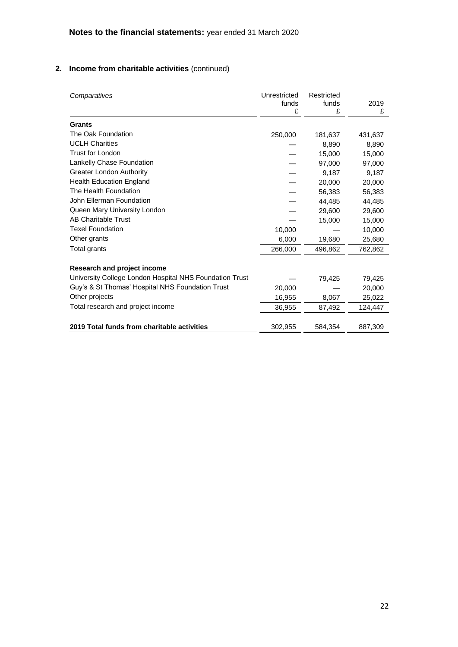## **2. Income from charitable activities** (continued)

| Comparatives                                            | Unrestricted<br>funds<br>£ | Restricted<br>funds<br>£ | 2019<br>£ |
|---------------------------------------------------------|----------------------------|--------------------------|-----------|
| Grants                                                  |                            |                          |           |
| The Oak Foundation                                      | 250,000                    | 181,637                  | 431,637   |
| <b>UCLH Charities</b>                                   |                            | 8,890                    | 8,890     |
| <b>Trust for London</b>                                 |                            | 15,000                   | 15,000    |
| Lankelly Chase Foundation                               |                            | 97,000                   | 97,000    |
| <b>Greater London Authority</b>                         |                            | 9,187                    | 9,187     |
| <b>Health Education England</b>                         |                            | 20,000                   | 20,000    |
| The Health Foundation                                   |                            | 56,383                   | 56,383    |
| John Ellerman Foundation                                |                            | 44,485                   | 44,485    |
| Queen Mary University London                            |                            | 29,600                   | 29,600    |
| <b>AB Charitable Trust</b>                              |                            | 15,000                   | 15,000    |
| <b>Texel Foundation</b>                                 | 10,000                     |                          | 10,000    |
| Other grants                                            | 6,000                      | 19,680                   | 25,680    |
| Total grants                                            | 266,000                    | 496,862                  | 762,862   |
| Research and project income                             |                            |                          |           |
| University College London Hospital NHS Foundation Trust |                            | 79,425                   | 79,425    |
| Guy's & St Thomas' Hospital NHS Foundation Trust        | 20,000                     |                          | 20,000    |
| Other projects                                          | 16,955                     | 8,067                    | 25,022    |
| Total research and project income                       | 36,955                     | 87,492                   | 124,447   |
|                                                         |                            |                          |           |
| 2019 Total funds from charitable activities             | 302,955                    | 584,354                  | 887,309   |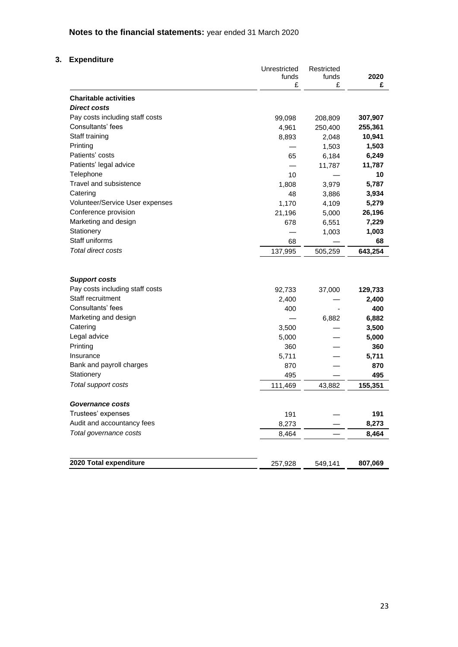# **Notes to the financial statements:** year ended 31 March 2020

## **3. Expenditure**

|                                 | Unrestricted<br>funds | Restricted<br>funds | 2020    |
|---------------------------------|-----------------------|---------------------|---------|
|                                 | £                     | £                   | £       |
| <b>Charitable activities</b>    |                       |                     |         |
| <b>Direct costs</b>             |                       |                     |         |
| Pay costs including staff costs | 99,098                | 208,809             | 307,907 |
| Consultants' fees               | 4,961                 | 250,400             | 255,361 |
| Staff training                  | 8,893                 | 2,048               | 10,941  |
| Printing                        |                       | 1,503               | 1,503   |
| Patients' costs                 | 65                    | 6,184               | 6,249   |
| Patients' legal advice          |                       | 11,787              | 11,787  |
| Telephone                       | 10                    |                     | 10      |
| Travel and subsistence          | 1,808                 | 3,979               | 5,787   |
| Catering                        | 48                    | 3,886               | 3,934   |
| Volunteer/Service User expenses | 1,170                 | 4,109               | 5,279   |
| Conference provision            | 21,196                | 5,000               | 26,196  |
| Marketing and design            | 678                   | 6,551               | 7,229   |
| Stationery                      |                       | 1,003               | 1,003   |
| Staff uniforms                  | 68                    |                     | 68      |
| <b>Total direct costs</b>       | 137,995               | 505,259             | 643,254 |
| <b>Support costs</b>            |                       |                     |         |
| Pay costs including staff costs | 92,733                | 37,000              | 129,733 |
| Staff recruitment               | 2,400                 |                     | 2,400   |
| Consultants' fees               | 400                   |                     | 400     |
| Marketing and design            |                       | 6,882               | 6,882   |
| Catering                        | 3,500                 |                     | 3,500   |
| Legal advice                    | 5,000                 |                     | 5,000   |
| Printing                        | 360                   |                     | 360     |
| Insurance                       | 5,711                 |                     | 5,711   |
| Bank and payroll charges        | 870                   |                     | 870     |
| Stationery                      | 495                   |                     | 495     |
| Total support costs             | 111,469               | 43,882              | 155,351 |
| Governance costs                |                       |                     |         |
| Trustees' expenses              | 191                   |                     | 191     |
| Audit and accountancy fees      | 8,273                 |                     | 8,273   |
| Total governance costs          | 8,464                 |                     | 8,464   |
|                                 |                       |                     |         |
| 2020 Total expenditure          | 257,928               | 549,141             | 807,069 |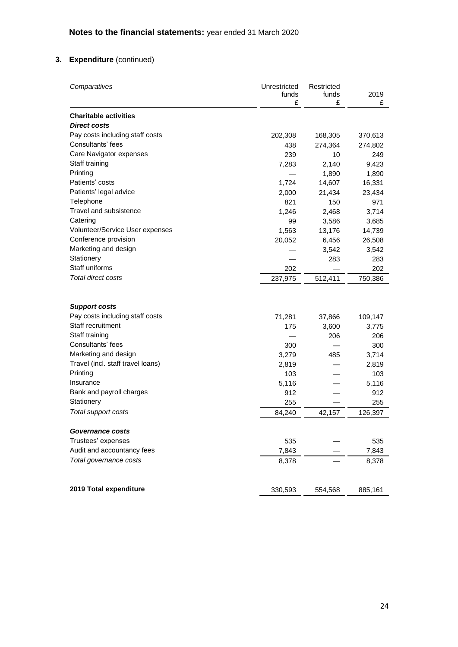## **3. Expenditure** (continued)

| Comparatives                      | Unrestricted<br>funds<br>£ | Restricted<br>funds<br>£ | 2019<br>£ |
|-----------------------------------|----------------------------|--------------------------|-----------|
| <b>Charitable activities</b>      |                            |                          |           |
| <b>Direct costs</b>               |                            |                          |           |
| Pay costs including staff costs   | 202,308                    | 168,305                  | 370,613   |
| Consultants' fees                 | 438                        | 274,364                  | 274,802   |
| Care Navigator expenses           | 239                        | 10                       | 249       |
| Staff training                    | 7,283                      | 2,140                    | 9,423     |
| Printing                          |                            | 1,890                    | 1,890     |
| Patients' costs                   | 1,724                      | 14,607                   | 16,331    |
| Patients' legal advice            | 2,000                      | 21,434                   | 23,434    |
| Telephone                         | 821                        | 150                      | 971       |
| Travel and subsistence            | 1,246                      | 2,468                    | 3,714     |
| Catering                          | 99                         | 3,586                    | 3,685     |
| Volunteer/Service User expenses   | 1,563                      | 13,176                   | 14,739    |
| Conference provision              | 20,052                     | 6,456                    | 26,508    |
| Marketing and design              |                            | 3,542                    | 3,542     |
| Stationery                        |                            | 283                      | 283       |
| Staff uniforms                    | 202                        |                          | 202       |
| <b>Total direct costs</b>         | 237,975                    | 512,411                  | 750,386   |
| <b>Support costs</b>              |                            |                          |           |
| Pay costs including staff costs   | 71,281                     | 37,866                   | 109,147   |
| Staff recruitment                 | 175                        | 3,600                    | 3,775     |
| Staff training                    |                            | 206                      | 206       |
| Consultants' fees                 | 300                        |                          | 300       |
| Marketing and design              | 3,279                      | 485                      | 3,714     |
| Travel (incl. staff travel loans) | 2,819                      |                          | 2,819     |
| Printing                          | 103                        |                          | 103       |
| Insurance                         | 5,116                      |                          | 5,116     |
| Bank and payroll charges          | 912                        |                          | 912       |
| Stationery                        | 255                        |                          | 255       |
| Total support costs               | 84,240                     | 42,157                   | 126,397   |
|                                   |                            |                          |           |
| <b>Governance costs</b>           |                            |                          |           |
| Trustees' expenses                | 535                        |                          | 535       |
| Audit and accountancy fees        | 7,843                      |                          | 7,843     |
| Total governance costs            | 8,378                      |                          | 8,378     |
|                                   |                            |                          |           |
| 2019 Total expenditure            | 330,593                    | 554,568                  | 885,161   |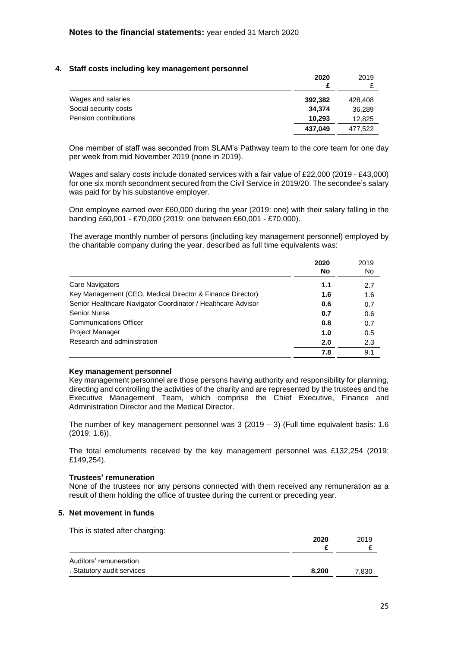#### **4. Staff costs including key management personnel**

|                       | 2020<br>£ | 2019    |
|-----------------------|-----------|---------|
| Wages and salaries    | 392.382   | 428,408 |
| Social security costs | 34.374    | 36,289  |
| Pension contributions | 10.293    | 12,825  |
|                       | 437.049   | 477.522 |

One member of staff was seconded from SLAM's Pathway team to the core team for one day per week from mid November 2019 (none in 2019).

Wages and salary costs include donated services with a fair value of £22,000 (2019 - £43,000) for one six month secondment secured from the Civil Service in 2019/20. The secondee's salary was paid for by his substantive employer.

One employee earned over £60,000 during the year (2019: one) with their salary falling in the banding £60,001 - £70,000 (2019: one between £60,001 - £70,000).

The average monthly number of persons (including key management personnel) employed by the charitable company during the year, described as full time equivalents was:

|                                                              | 2020<br>No | 2019<br>No |
|--------------------------------------------------------------|------------|------------|
| Care Navigators                                              | 1.1        | 2.7        |
| Key Management (CEO, Medical Director & Finance Director)    | 1.6        | 1.6        |
| Senior Healthcare Navigator Coordinator / Healthcare Advisor | 0.6        | 0.7        |
| <b>Senior Nurse</b>                                          | 0.7        | 0.6        |
| <b>Communications Officer</b>                                | 0.8        | 0.7        |
| Project Manager                                              | 1.0        | 0.5        |
| Research and administration                                  | 2.0        | 2.3        |
|                                                              | 7.8        | 9.1        |

#### **Key management personnel**

Key management personnel are those persons having authority and responsibility for planning, directing and controlling the activities of the charity and are represented by the trustees and the Executive Management Team, which comprise the Chief Executive, Finance and Administration Director and the Medical Director.

The number of key management personnel was 3 (2019 – 3) (Full time equivalent basis: 1.6 (2019: 1.6)).

The total emoluments received by the key management personnel was £132,254 (2019: £149,254).

#### **Trustees' remuneration**

None of the trustees nor any persons connected with them received any remuneration as a result of them holding the office of trustee during the current or preceding year.

#### **5. Net movement in funds**

This is stated after charging:

|                            | 2020  | 2019  |
|----------------------------|-------|-------|
| Auditors' remuneration     |       |       |
| . Statutory audit services | 8.200 | 7,830 |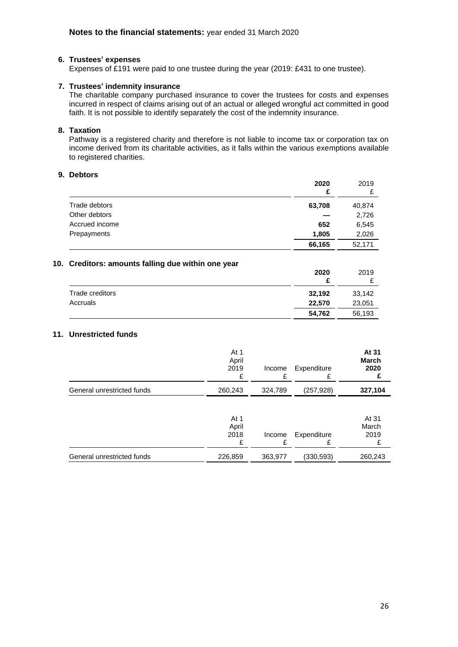#### **6. Trustees' expenses**

Expenses of £191 were paid to one trustee during the year (2019: £431 to one trustee).

#### **7. Trustees' indemnity insurance**

The charitable company purchased insurance to cover the trustees for costs and expenses incurred in respect of claims arising out of an actual or alleged wrongful act committed in good faith. It is not possible to identify separately the cost of the indemnity insurance.

### **8. Taxation**

Pathway is a registered charity and therefore is not liable to income tax or corporation tax on income derived from its charitable activities, as it falls within the various exemptions available to registered charities.

#### **9. Debtors**

|                | 2020<br>£ | 2019<br>₽ |
|----------------|-----------|-----------|
| Trade debtors  | 63,708    | 40,874    |
| Other debtors  |           | 2,726     |
| Accrued income | 652       | 6,545     |
| Prepayments    | 1,805     | 2,026     |
|                | 66,165    | 52,171    |

#### **10. Creditors: amounts falling due within one year**

|                 | 2020   | 2019   |
|-----------------|--------|--------|
| Trade creditors | 32,192 | 33,142 |
| Accruals        | 22,570 | 23,051 |
|                 | 54,762 | 56,193 |

#### **11. Unrestricted funds**

|                            | At 1<br>April<br>2019<br>£ | Income<br>£ | Expenditure<br>£ | At 31<br>March<br>2020      |
|----------------------------|----------------------------|-------------|------------------|-----------------------------|
| General unrestricted funds | 260,243                    | 324,789     | (257,928)        | 327,104                     |
|                            | At 1<br>April<br>2018      | Income      | Expenditure<br>£ | At 31<br>March<br>2019<br>£ |
| General unrestricted funds | 226,859                    | 363,977     | (330,593)        | 260,243                     |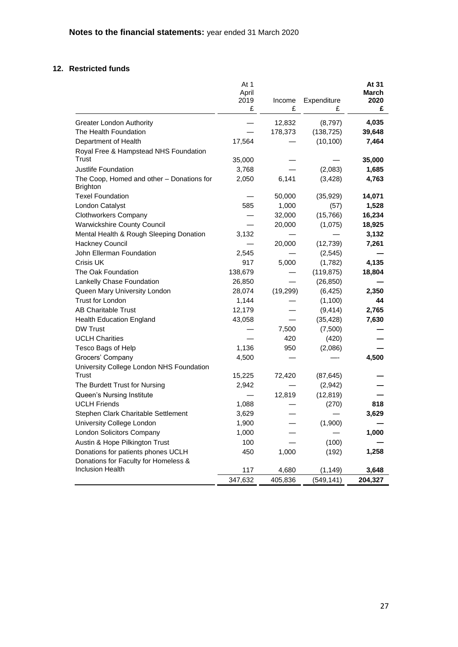## **12. Restricted funds**

|                                                              | At 1          |           | At 31<br>March |         |
|--------------------------------------------------------------|---------------|-----------|----------------|---------|
|                                                              | April<br>2019 | Income    | Expenditure    | 2020    |
|                                                              | £             | £         | £              | £       |
| <b>Greater London Authority</b>                              |               | 12,832    | (8,797)        | 4,035   |
| The Health Foundation                                        |               | 178,373   | (138, 725)     | 39,648  |
| Department of Health                                         | 17,564        |           | (10, 100)      | 7,464   |
| Royal Free & Hampstead NHS Foundation                        |               |           |                |         |
| Trust                                                        | 35,000        |           |                | 35,000  |
| Justlife Foundation                                          | 3,768         |           | (2,083)        | 1,685   |
| The Coop, Homed and other - Donations for<br><b>Brighton</b> | 2,050         | 6,141     | (3, 428)       | 4,763   |
| <b>Texel Foundation</b>                                      |               | 50,000    | (35, 929)      | 14,071  |
| London Catalyst                                              | 585           | 1,000     | (57)           | 1,528   |
| <b>Clothworkers Company</b>                                  |               | 32,000    | (15, 766)      | 16,234  |
| <b>Warwickshire County Council</b>                           |               | 20,000    | (1,075)        | 18,925  |
| Mental Health & Rough Sleeping Donation                      | 3,132         |           |                | 3,132   |
| Hackney Council                                              |               | 20,000    | (12, 739)      | 7,261   |
| John Ellerman Foundation                                     | 2,545         |           | (2,545)        |         |
| Crisis UK                                                    | 917           | 5,000     | (1,782)        | 4,135   |
| The Oak Foundation                                           | 138,679       |           | (119, 875)     | 18,804  |
| Lankelly Chase Foundation                                    | 26,850        |           | (26, 850)      |         |
| Queen Mary University London                                 | 28,074        | (19, 299) | (6, 425)       | 2,350   |
| <b>Trust for London</b>                                      | 1,144         |           | (1,100)        | 44      |
| <b>AB Charitable Trust</b>                                   | 12,179        |           | (9, 414)       | 2,765   |
| Health Education England                                     | 43,058        |           | (35, 428)      | 7,630   |
| <b>DW Trust</b>                                              |               | 7,500     | (7,500)        |         |
| <b>UCLH Charities</b>                                        |               | 420       | (420)          |         |
| Tesco Bags of Help                                           | 1,136         | 950       | (2,086)        |         |
| Grocers' Company                                             | 4,500         |           |                | 4,500   |
| University College London NHS Foundation                     |               |           |                |         |
| <b>Trust</b>                                                 | 15,225        | 72,420    | (87, 645)      |         |
| The Burdett Trust for Nursing                                | 2,942         |           | (2,942)        |         |
| Queen's Nursing Institute                                    |               | 12,819    | (12, 819)      |         |
| <b>UCLH Friends</b>                                          | 1,088         |           | (270)          | 818     |
| Stephen Clark Charitable Settlement                          | 3,629         |           |                | 3,629   |
| University College London                                    | 1,900         |           | (1,900)        |         |
| <b>London Solicitors Company</b>                             | 1,000         |           |                | 1,000   |
| Austin & Hope Pilkington Trust                               | 100           |           | (100)          |         |
| Donations for patients phones UCLH                           | 450           | 1,000     | (192)          | 1,258   |
| Donations for Faculty for Homeless &                         |               |           |                |         |
| <b>Inclusion Health</b>                                      | 117           | 4,680     | (1, 149)       | 3,648   |
|                                                              | 347,632       | 405,836   | (549, 141)     | 204,327 |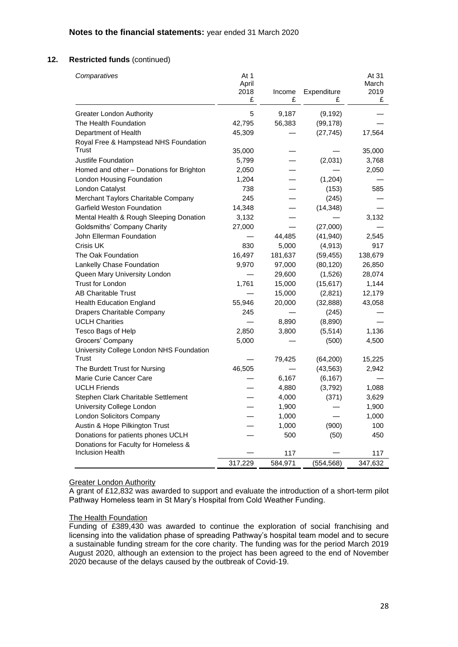| Comparatives                             | At 1<br>April |         |             | At 31<br>March |
|------------------------------------------|---------------|---------|-------------|----------------|
|                                          | 2018          | Income  | Expenditure | 2019           |
|                                          | £             | £       | £           | £              |
| <b>Greater London Authority</b>          | 5             | 9,187   | (9, 192)    |                |
| The Health Foundation                    | 42,795        | 56,383  | (99, 178)   |                |
| Department of Health                     | 45,309        |         | (27, 745)   | 17,564         |
| Royal Free & Hampstead NHS Foundation    |               |         |             |                |
| Trust                                    | 35,000        |         |             | 35,000         |
| Justlife Foundation                      | 5,799         |         | (2,031)     | 3,768          |
| Homed and other - Donations for Brighton | 2,050         |         |             | 2,050          |
| London Housing Foundation                | 1,204         |         | (1, 204)    |                |
| London Catalyst                          | 738           |         | (153)       | 585            |
| Merchant Taylors Charitable Company      | 245           |         | (245)       |                |
| <b>Garfield Weston Foundation</b>        | 14,348        |         | (14, 348)   |                |
| Mental Health & Rough Sleeping Donation  | 3,132         |         |             | 3,132          |
| <b>Goldsmiths' Company Charity</b>       | 27,000        |         | (27,000)    |                |
| John Ellerman Foundation                 |               | 44,485  | (41, 940)   | 2,545          |
| Crisis UK                                | 830           | 5,000   | (4, 913)    | 917            |
| The Oak Foundation                       | 16,497        | 181,637 | (59, 455)   | 138,679        |
| Lankelly Chase Foundation                | 9,970         | 97,000  | (80, 120)   | 26,850         |
| Queen Mary University London             |               | 29,600  | (1,526)     | 28,074         |
| <b>Trust for London</b>                  | 1,761         | 15,000  | (15, 617)   | 1,144          |
| <b>AB Charitable Trust</b>               |               | 15,000  | (2,821)     | 12,179         |
| <b>Health Education England</b>          | 55,946        | 20,000  | (32, 888)   | 43,058         |
| Drapers Charitable Company               | 245           |         | (245)       |                |
| <b>UCLH Charities</b>                    |               | 8,890   | (8,890)     |                |
| Tesco Bags of Help                       | 2,850         | 3,800   | (5,514)     | 1,136          |
| Grocers' Company                         | 5,000         |         | (500)       | 4,500          |
| University College London NHS Foundation |               |         |             |                |
| Trust                                    |               | 79,425  | (64, 200)   | 15,225         |
| The Burdett Trust for Nursing            | 46,505        |         | (43, 563)   | 2,942          |
| Marie Curie Cancer Care                  |               | 6,167   | (6, 167)    |                |
| <b>UCLH Friends</b>                      |               | 4,880   | (3,792)     | 1,088          |
| Stephen Clark Charitable Settlement      |               | 4,000   | (371)       | 3,629          |
| University College London                |               | 1,900   |             | 1,900          |
| <b>London Solicitors Company</b>         |               | 1,000   |             | 1,000          |
| Austin & Hope Pilkington Trust           |               | 1,000   | (900)       | 100            |
| Donations for patients phones UCLH       |               | 500     | (50)        | 450            |
| Donations for Faculty for Homeless &     |               |         |             |                |
| <b>Inclusion Health</b>                  |               | 117     |             | 117            |
|                                          | 317,229       | 584,971 | (554, 568)  | 347,632        |

#### **Greater London Authority**

A grant of £12,832 was awarded to support and evaluate the introduction of a short-term pilot Pathway Homeless team in St Mary's Hospital from Cold Weather Funding.

#### The Health Foundation

Funding of £389,430 was awarded to continue the exploration of social franchising and licensing into the validation phase of spreading Pathway's hospital team model and to secure a sustainable funding stream for the core charity. The funding was for the period March 2019 August 2020, although an extension to the project has been agreed to the end of November 2020 because of the delays caused by the outbreak of Covid-19.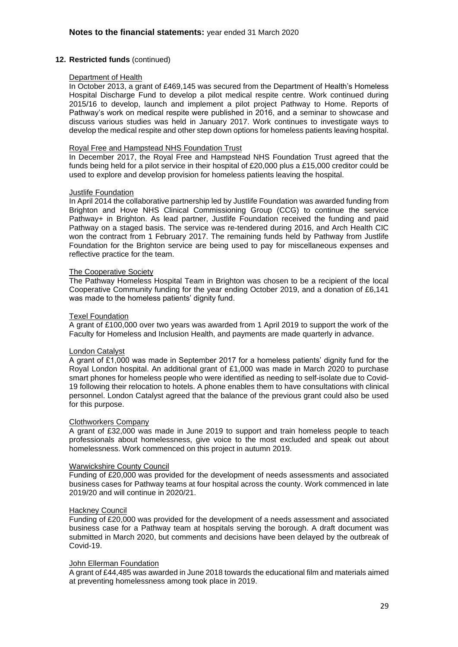#### Department of Health

In October 2013, a grant of £469,145 was secured from the Department of Health's Homeless Hospital Discharge Fund to develop a pilot medical respite centre. Work continued during 2015/16 to develop, launch and implement a pilot project Pathway to Home. Reports of Pathway's work on medical respite were published in 2016, and a seminar to showcase and discuss various studies was held in January 2017. Work continues to investigate ways to develop the medical respite and other step down options for homeless patients leaving hospital.

#### Royal Free and Hampstead NHS Foundation Trust

In December 2017, the Royal Free and Hampstead NHS Foundation Trust agreed that the funds being held for a pilot service in their hospital of £20,000 plus a £15,000 creditor could be used to explore and develop provision for homeless patients leaving the hospital.

#### Justlife Foundation

In April 2014 the collaborative partnership led by Justlife Foundation was awarded funding from Brighton and Hove NHS Clinical Commissioning Group (CCG) to continue the service Pathway+ in Brighton. As lead partner, Justlife Foundation received the funding and paid Pathway on a staged basis. The service was re-tendered during 2016, and Arch Health CIC won the contract from 1 February 2017. The remaining funds held by Pathway from Justlife Foundation for the Brighton service are being used to pay for miscellaneous expenses and reflective practice for the team.

#### The Cooperative Society

The Pathway Homeless Hospital Team in Brighton was chosen to be a recipient of the local Cooperative Community funding for the year ending October 2019, and a donation of £6,141 was made to the homeless patients' dignity fund.

#### Texel Foundation

A grant of £100,000 over two years was awarded from 1 April 2019 to support the work of the Faculty for Homeless and Inclusion Health, and payments are made quarterly in advance.

#### London Catalyst

A grant of £1,000 was made in September 2017 for a homeless patients' dignity fund for the Royal London hospital. An additional grant of £1,000 was made in March 2020 to purchase smart phones for homeless people who were identified as needing to self-isolate due to Covid-19 following their relocation to hotels. A phone enables them to have consultations with clinical personnel. London Catalyst agreed that the balance of the previous grant could also be used for this purpose.

#### Clothworkers Company

A grant of £32,000 was made in June 2019 to support and train homeless people to teach professionals about homelessness, give voice to the most excluded and speak out about homelessness. Work commenced on this project in autumn 2019.

#### Warwickshire County Council

Funding of £20,000 was provided for the development of needs assessments and associated business cases for Pathway teams at four hospital across the county. Work commenced in late 2019/20 and will continue in 2020/21.

#### Hackney Council

Funding of £20,000 was provided for the development of a needs assessment and associated business case for a Pathway team at hospitals serving the borough. A draft document was submitted in March 2020, but comments and decisions have been delayed by the outbreak of Covid-19.

#### John Ellerman Foundation

A grant of £44,485 was awarded in June 2018 towards the educational film and materials aimed at preventing homelessness among took place in 2019.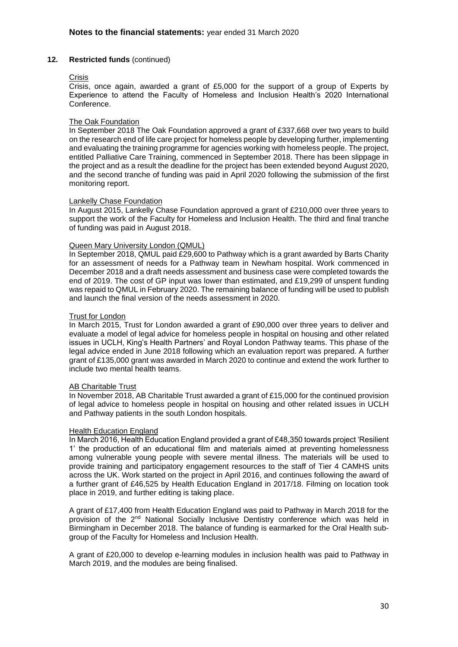#### **Crisis**

Crisis, once again, awarded a grant of £5,000 for the support of a group of Experts by Experience to attend the Faculty of Homeless and Inclusion Health's 2020 International Conference.

#### The Oak Foundation

In September 2018 The Oak Foundation approved a grant of £337,668 over two years to build on the research end of life care project for homeless people by developing further, implementing and evaluating the training programme for agencies working with homeless people. The project, entitled Palliative Care Training, commenced in September 2018. There has been slippage in the project and as a result the deadline for the project has been extended beyond August 2020, and the second tranche of funding was paid in April 2020 following the submission of the first monitoring report.

#### Lankelly Chase Foundation

In August 2015, Lankelly Chase Foundation approved a grant of £210,000 over three years to support the work of the Faculty for Homeless and Inclusion Health. The third and final tranche of funding was paid in August 2018.

#### Queen Mary University London (QMUL)

In September 2018, QMUL paid £29,600 to Pathway which is a grant awarded by Barts Charity for an assessment of needs for a Pathway team in Newham hospital. Work commenced in December 2018 and a draft needs assessment and business case were completed towards the end of 2019. The cost of GP input was lower than estimated, and £19,299 of unspent funding was repaid to QMUL in February 2020. The remaining balance of funding will be used to publish and launch the final version of the needs assessment in 2020.

#### Trust for London

In March 2015, Trust for London awarded a grant of £90,000 over three years to deliver and evaluate a model of legal advice for homeless people in hospital on housing and other related issues in UCLH, King's Health Partners' and Royal London Pathway teams. This phase of the legal advice ended in June 2018 following which an evaluation report was prepared. A further grant of £135,000 grant was awarded in March 2020 to continue and extend the work further to include two mental health teams.

#### AB Charitable Trust

In November 2018, AB Charitable Trust awarded a grant of £15,000 for the continued provision of legal advice to homeless people in hospital on housing and other related issues in UCLH and Pathway patients in the south London hospitals.

#### Health Education England

In March 2016, Health Education England provided a grant of £48,350 towards project 'Resilient 1' the production of an educational film and materials aimed at preventing homelessness among vulnerable young people with severe mental illness. The materials will be used to provide training and participatory engagement resources to the staff of Tier 4 CAMHS units across the UK. Work started on the project in April 2016, and continues following the award of a further grant of £46,525 by Health Education England in 2017/18. Filming on location took place in 2019, and further editing is taking place.

A grant of £17,400 from Health Education England was paid to Pathway in March 2018 for the provision of the 2nd National Socially Inclusive Dentistry conference which was held in Birmingham in December 2018. The balance of funding is earmarked for the Oral Health subgroup of the Faculty for Homeless and Inclusion Health.

A grant of £20,000 to develop e-learning modules in inclusion health was paid to Pathway in March 2019, and the modules are being finalised.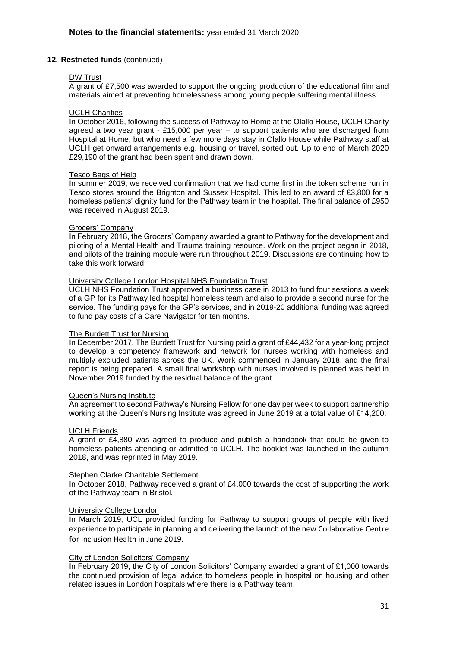#### DW Trust

A grant of £7,500 was awarded to support the ongoing production of the educational film and materials aimed at preventing homelessness among young people suffering mental illness.

#### UCLH Charities

In October 2016, following the success of Pathway to Home at the Olallo House, UCLH Charity agreed a two year grant - £15,000 per year – to support patients who are discharged from Hospital at Home, but who need a few more days stay in Olallo House while Pathway staff at UCLH get onward arrangements e.g. housing or travel, sorted out. Up to end of March 2020 £29,190 of the grant had been spent and drawn down.

#### Tesco Bags of Help

In summer 2019, we received confirmation that we had come first in the token scheme run in Tesco stores around the Brighton and Sussex Hospital. This led to an award of £3,800 for a homeless patients' dignity fund for the Pathway team in the hospital. The final balance of £950 was received in August 2019.

#### Grocers' Company

In February 2018, the Grocers' Company awarded a grant to Pathway for the development and piloting of a Mental Health and Trauma training resource. Work on the project began in 2018, and pilots of the training module were run throughout 2019. Discussions are continuing how to take this work forward.

#### University College London Hospital NHS Foundation Trust

UCLH NHS Foundation Trust approved a business case in 2013 to fund four sessions a week of a GP for its Pathway led hospital homeless team and also to provide a second nurse for the service. The funding pays for the GP's services, and in 2019-20 additional funding was agreed to fund pay costs of a Care Navigator for ten months.

#### The Burdett Trust for Nursing

In December 2017, The Burdett Trust for Nursing paid a grant of £44,432 for a year-long project to develop a competency framework and network for nurses working with homeless and multiply excluded patients across the UK. Work commenced in January 2018, and the final report is being prepared. A small final workshop with nurses involved is planned was held in November 2019 funded by the residual balance of the grant.

#### Queen's Nursing Institute

An agreement to second Pathway's Nursing Fellow for one day per week to support partnership working at the Queen's Nursing Institute was agreed in June 2019 at a total value of £14,200.

#### UCLH Friends

A grant of £4,880 was agreed to produce and publish a handbook that could be given to homeless patients attending or admitted to UCLH. The booklet was launched in the autumn 2018, and was reprinted in May 2019.

#### Stephen Clarke Charitable Settlement

In October 2018, Pathway received a grant of £4,000 towards the cost of supporting the work of the Pathway team in Bristol.

#### University College London

In March 2019, UCL provided funding for Pathway to support groups of people with lived experience to participate in planning and delivering the launch of the new Collaborative Centre for Inclusion Health in June 2019.

#### City of London Solicitors' Company

In February 2019, the City of London Solicitors' Company awarded a grant of £1,000 towards the continued provision of legal advice to homeless people in hospital on housing and other related issues in London hospitals where there is a Pathway team.